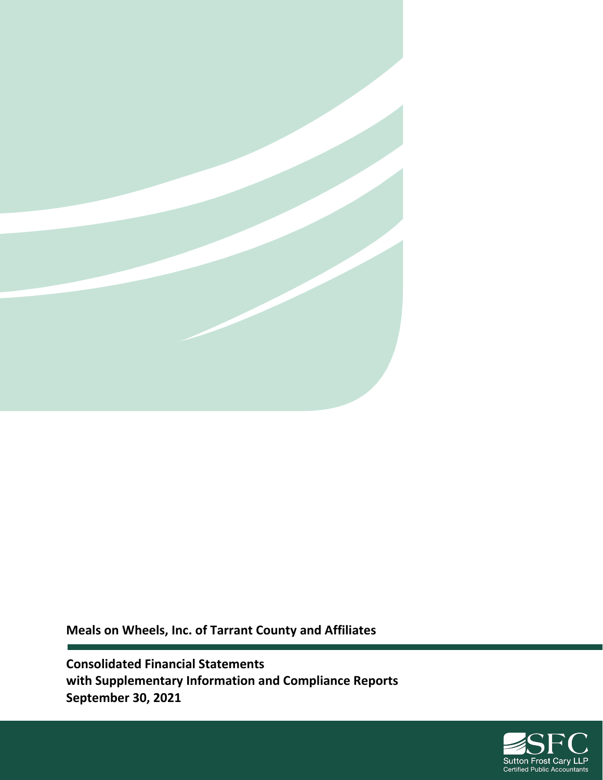

**Meals on Wheels, Inc. of Tarrant County and Affiliates** 

**Consolidated Financial Statements with Supplementary Information and Compliance Reports September 30, 2021**

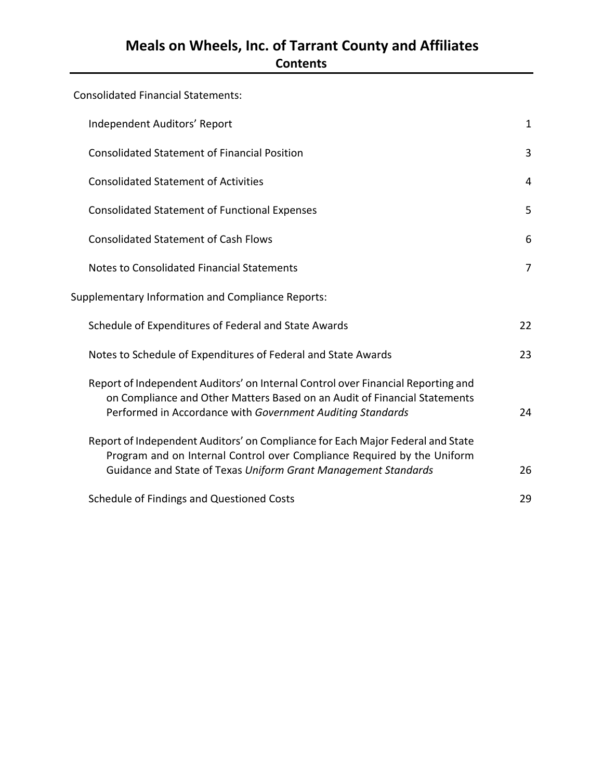# **Meals on Wheels, Inc. of Tarrant County and Affiliates Contents**

| <b>Consolidated Financial Statements:</b>                                                                                                                                                                                   |                |
|-----------------------------------------------------------------------------------------------------------------------------------------------------------------------------------------------------------------------------|----------------|
| Independent Auditors' Report                                                                                                                                                                                                | $\mathbf{1}$   |
| <b>Consolidated Statement of Financial Position</b>                                                                                                                                                                         | 3              |
| <b>Consolidated Statement of Activities</b>                                                                                                                                                                                 | 4              |
| <b>Consolidated Statement of Functional Expenses</b>                                                                                                                                                                        | 5              |
| <b>Consolidated Statement of Cash Flows</b>                                                                                                                                                                                 | 6              |
| Notes to Consolidated Financial Statements                                                                                                                                                                                  | $\overline{7}$ |
| <b>Supplementary Information and Compliance Reports:</b>                                                                                                                                                                    |                |
| Schedule of Expenditures of Federal and State Awards                                                                                                                                                                        | 22             |
| Notes to Schedule of Expenditures of Federal and State Awards                                                                                                                                                               | 23             |
| Report of Independent Auditors' on Internal Control over Financial Reporting and<br>on Compliance and Other Matters Based on an Audit of Financial Statements<br>Performed in Accordance with Government Auditing Standards | 24             |
| Report of Independent Auditors' on Compliance for Each Major Federal and State<br>Program and on Internal Control over Compliance Required by the Uniform<br>Guidance and State of Texas Uniform Grant Management Standards | 26             |
| Schedule of Findings and Questioned Costs                                                                                                                                                                                   | 29             |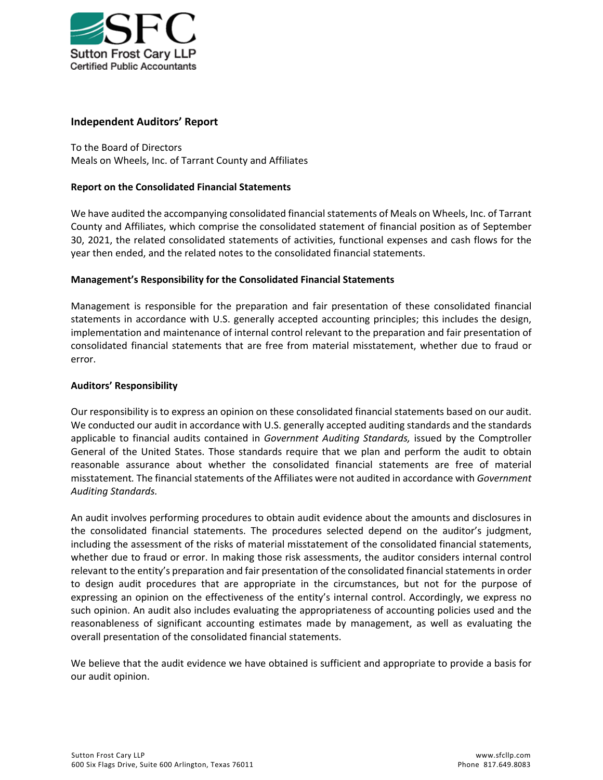

#### **Independent Auditors' Report**

To the Board of Directors Meals on Wheels, Inc. of Tarrant County and Affiliates

#### **Report on the Consolidated Financial Statements**

We have audited the accompanying consolidated financial statements of Meals on Wheels, Inc. of Tarrant County and Affiliates, which comprise the consolidated statement of financial position as of September 30, 2021, the related consolidated statements of activities, functional expenses and cash flows for the year then ended, and the related notes to the consolidated financial statements.

#### **Management's Responsibility for the Consolidated Financial Statements**

Management is responsible for the preparation and fair presentation of these consolidated financial statements in accordance with U.S. generally accepted accounting principles; this includes the design, implementation and maintenance of internal control relevant to the preparation and fair presentation of consolidated financial statements that are free from material misstatement, whether due to fraud or error.

#### **Auditors' Responsibility**

Our responsibility is to express an opinion on these consolidated financial statements based on our audit. We conducted our audit in accordance with U.S. generally accepted auditing standards and the standards applicable to financial audits contained in *Government Auditing Standards,* issued by the Comptroller General of the United States. Those standards require that we plan and perform the audit to obtain reasonable assurance about whether the consolidated financial statements are free of material misstatement*.* The financial statements of the Affiliates were not audited in accordance with *Government Auditing Standards.* 

An audit involves performing procedures to obtain audit evidence about the amounts and disclosures in the consolidated financial statements. The procedures selected depend on the auditor's judgment, including the assessment of the risks of material misstatement of the consolidated financial statements, whether due to fraud or error. In making those risk assessments, the auditor considers internal control relevant to the entity's preparation and fair presentation of the consolidated financial statements in order to design audit procedures that are appropriate in the circumstances, but not for the purpose of expressing an opinion on the effectiveness of the entity's internal control. Accordingly, we express no such opinion. An audit also includes evaluating the appropriateness of accounting policies used and the reasonableness of significant accounting estimates made by management, as well as evaluating the overall presentation of the consolidated financial statements.

We believe that the audit evidence we have obtained is sufficient and appropriate to provide a basis for our audit opinion.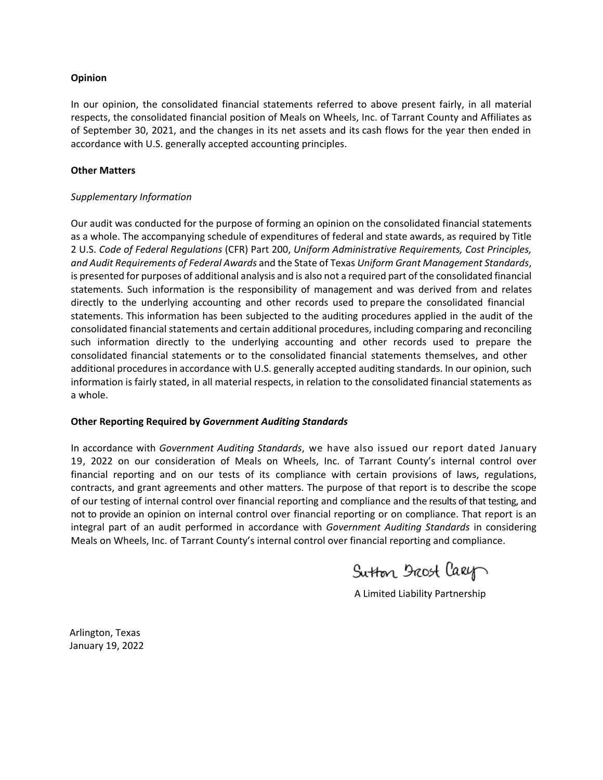#### **Opinion**

In our opinion, the consolidated financial statements referred to above present fairly, in all material respects, the consolidated financial position of Meals on Wheels, Inc. of Tarrant County and Affiliates as of September 30, 2021, and the changes in its net assets and its cash flows for the year then ended in accordance with U.S. generally accepted accounting principles.

#### **Other Matters**

#### *Supplementary Information*

Our audit was conducted for the purpose of forming an opinion on the consolidated financial statements as a whole. The accompanying schedule of expenditures of federal and state awards, as required by Title 2 U.S. *Code of Federal Regulations* (CFR) Part 200, *Uniform Administrative Requirements, Cost Principles, and Audit Requirements of Federal Awards* and the State of Texas *Uniform Grant Management Standards*, is presented for purposes of additional analysis and is also not a required part of the consolidated financial statements. Such information is the responsibility of management and was derived from and relates directly to the underlying accounting and other records used to prepare the consolidated financial statements. This information has been subjected to the auditing procedures applied in the audit of the consolidated financial statements and certain additional procedures, including comparing and reconciling such information directly to the underlying accounting and other records used to prepare the consolidated financial statements or to the consolidated financial statements themselves, and other additional procedures in accordance with U.S. generally accepted auditing standards. In our opinion, such information is fairly stated, in all material respects, in relation to the consolidated financial statements as a whole.

#### **Other Reporting Required by** *Government Auditing Standards*

In accordance with *Government Auditing Standards*, we have also issued our report dated January 19, 2022 on our consideration of Meals on Wheels, Inc. of Tarrant County's internal control over financial reporting and on our tests of its compliance with certain provisions of laws, regulations, contracts, and grant agreements and other matters. The purpose of that report is to describe the scope of our testing of internal control over financial reporting and compliance and the results of that testing, and not to provide an opinion on internal control over financial reporting or on compliance. That report is an integral part of an audit performed in accordance with *Government Auditing Standards* in considering Meals on Wheels, Inc. of Tarrant County's internal control over financial reporting and compliance.

Sutton Brost Cary

A Limited Liability Partnership

Arlington, Texas January 19, 2022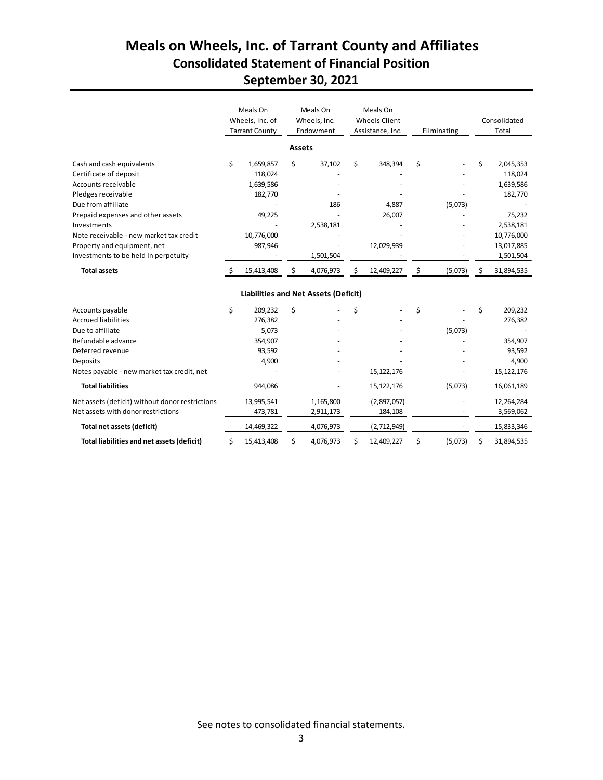# **Meals on Wheels, Inc. of Tarrant County and Affiliates Consolidated Statement of Financial Position September 30, 2021**

|                                                 | Meals On<br>Wheels, Inc. of |                                             | Meals On<br>Wheels, Inc.<br><b>Tarrant County</b><br>Endowment |           | Meals On<br><b>Wheels Client</b> |                  |             |         | Consolidated |              |
|-------------------------------------------------|-----------------------------|---------------------------------------------|----------------------------------------------------------------|-----------|----------------------------------|------------------|-------------|---------|--------------|--------------|
|                                                 |                             |                                             |                                                                |           |                                  | Assistance, Inc. | Eliminating |         |              | Total        |
|                                                 |                             |                                             | <b>Assets</b>                                                  |           |                                  |                  |             |         |              |              |
| Cash and cash equivalents                       | \$                          | 1,659,857                                   | \$                                                             | 37,102    | \$                               | 348,394          | \$          |         | \$           | 2,045,353    |
| Certificate of deposit                          |                             | 118,024                                     |                                                                |           |                                  |                  |             |         |              | 118,024      |
| Accounts receivable                             |                             | 1,639,586                                   |                                                                |           |                                  |                  |             |         |              | 1,639,586    |
| Pledges receivable                              |                             | 182,770                                     |                                                                |           |                                  |                  |             |         |              | 182,770      |
| Due from affiliate                              |                             |                                             |                                                                | 186       |                                  | 4,887            |             | (5,073) |              |              |
| Prepaid expenses and other assets               |                             | 49,225                                      |                                                                |           |                                  | 26,007           |             |         |              | 75,232       |
| Investments                                     |                             |                                             |                                                                | 2,538,181 |                                  |                  |             |         |              | 2,538,181    |
| Note receivable - new market tax credit         |                             | 10,776,000                                  |                                                                |           |                                  |                  |             |         |              | 10,776,000   |
| Property and equipment, net                     |                             | 987,946                                     |                                                                |           |                                  | 12,029,939       |             |         |              | 13,017,885   |
| Investments to be held in perpetuity            |                             |                                             |                                                                | 1,501,504 |                                  |                  |             |         |              | 1,501,504    |
| <b>Total assets</b>                             | Ŝ.                          | 15,413,408                                  | -\$                                                            | 4,076,973 | \$                               | 12,409,227       | - \$        | (5,073) | - \$         | 31,894,535   |
|                                                 |                             | <b>Liabilities and Net Assets (Deficit)</b> |                                                                |           |                                  |                  |             |         |              |              |
| Accounts payable                                | \$                          | 209,232                                     | \$                                                             |           | \$                               |                  | \$          |         | \$           | 209,232      |
| <b>Accrued liabilities</b>                      |                             | 276,382                                     |                                                                |           |                                  |                  |             |         |              | 276,382      |
| Due to affiliate                                |                             | 5,073                                       |                                                                |           |                                  |                  |             | (5,073) |              |              |
| Refundable advance                              |                             | 354,907                                     |                                                                |           |                                  |                  |             |         |              | 354,907      |
| Deferred revenue                                |                             | 93,592                                      |                                                                |           |                                  |                  |             |         |              | 93,592       |
| Deposits                                        |                             | 4,900                                       |                                                                |           |                                  |                  |             |         |              | 4,900        |
| Notes payable - new market tax credit, net      |                             |                                             |                                                                |           |                                  | 15, 122, 176     |             |         |              | 15, 122, 176 |
| <b>Total liabilities</b>                        |                             | 944,086                                     |                                                                |           |                                  | 15, 122, 176     |             | (5,073) |              | 16,061,189   |
| Net assets (deficit) without donor restrictions |                             | 13,995,541                                  |                                                                | 1,165,800 |                                  | (2,897,057)      |             |         |              | 12,264,284   |
| Net assets with donor restrictions              |                             | 473,781                                     |                                                                | 2,911,173 |                                  | 184,108          |             |         |              | 3,569,062    |
| Total net assets (deficit)                      |                             | 14,469,322                                  |                                                                | 4,076,973 |                                  | (2, 712, 949)    |             |         |              | 15,833,346   |
| Total liabilities and net assets (deficit)      | S                           | 15,413,408                                  | \$                                                             | 4,076,973 | \$                               | 12,409,227       | \$          | (5,073) | \$           | 31,894,535   |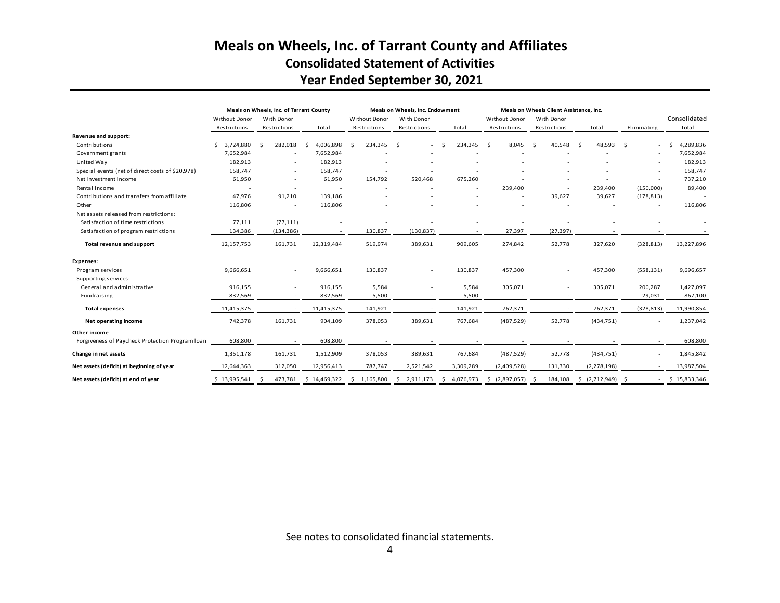# **Meals on Wheels, Inc. of Tarrant County and Affiliates Consolidated Statement of Activities Year Ended September 30, 2021**

|                                                  |                      | Meals on Wheels, Inc. of Tarrant County |                 |                 | Meals on Wheels, Inc. Endowment |                 |                      | Meals on Wheels Client Assistance, Inc. |                   |             |              |
|--------------------------------------------------|----------------------|-----------------------------------------|-----------------|-----------------|---------------------------------|-----------------|----------------------|-----------------------------------------|-------------------|-------------|--------------|
|                                                  | <b>Without Donor</b> | With Donor                              |                 | Without Donor   | With Donor                      |                 | <b>Without Donor</b> | With Donor                              |                   |             | Consolidated |
|                                                  | Restrictions         | Restrictions                            | Total           | Restrictions    | Restrictions                    | Total           | Restrictions         | Restrictions                            | Total             | Eliminating | Total        |
| Revenue and support:                             |                      |                                         |                 |                 |                                 |                 |                      |                                         |                   |             |              |
| Contributions                                    | \$3,724,880          | 282,018<br>-\$                          | 4,006,898<br>\$ | 234,345<br>Ŝ.   | Ŝ.                              | 234,345         | -\$<br>8,045         | 40,548<br>Ŝ.                            | 48,593<br>-\$     | - \$        | 4,289,836    |
| Government grants                                | 7,652,984            |                                         | 7,652,984       |                 |                                 |                 |                      |                                         |                   |             | 7,652,984    |
| United Way                                       | 182,913              | ٠                                       | 182,913         |                 |                                 |                 |                      |                                         |                   |             | 182,913      |
| Special events (net of direct costs of \$20,978) | 158,747              | ٠                                       | 158,747         |                 |                                 |                 |                      |                                         |                   |             | 158,747      |
| Net investment income                            | 61,950               | ٠                                       | 61,950          | 154,792         | 520,468                         | 675,260         |                      |                                         |                   |             | 737,210      |
| Rental income                                    |                      |                                         |                 |                 |                                 |                 | 239,400              |                                         | 239,400           | (150,000)   | 89,400       |
| Contributions and transfers from affiliate       | 47,976               | 91,210                                  | 139,186         |                 |                                 |                 |                      | 39,627                                  | 39,627            | (178, 813)  |              |
| Other                                            | 116,806              |                                         | 116,806         |                 |                                 |                 |                      |                                         |                   | ٠           | 116,806      |
| Net assets released from restrictions:           |                      |                                         |                 |                 |                                 |                 |                      |                                         |                   |             |              |
| Satisfaction of time restrictions                | 77,111               | (77, 111)                               |                 |                 |                                 |                 |                      |                                         |                   |             |              |
| Satisfaction of program restrictions             | 134,386              | (134, 386)                              |                 | 130,837         | (130, 837)                      |                 | 27,397               | (27, 397)                               |                   |             |              |
| <b>Total revenue and support</b>                 | 12,157,753           | 161,731                                 | 12,319,484      | 519,974         | 389,631                         | 909,605         | 274,842              | 52,778                                  | 327,620           | (328, 813)  | 13,227,896   |
| <b>Expenses:</b>                                 |                      |                                         |                 |                 |                                 |                 |                      |                                         |                   |             |              |
| Program services                                 | 9,666,651            |                                         | 9,666,651       | 130,837         |                                 | 130,837         | 457,300              |                                         | 457,300           | (558, 131)  | 9,696,657    |
| Supporting services:                             |                      |                                         |                 |                 |                                 |                 |                      |                                         |                   |             |              |
| General and administrative                       | 916,155              | ٠                                       | 916,155         | 5,584           |                                 | 5,584           | 305,071              |                                         | 305,071           | 200,287     | 1,427,097    |
| Fundraising                                      | 832,569              |                                         | 832,569         | 5,500           |                                 | 5,500           |                      |                                         |                   | 29,031      | 867,100      |
| <b>Total expenses</b>                            | 11,415,375           |                                         | 11,415,375      | 141,921         |                                 | 141,921         | 762,371              |                                         | 762,371           | (328, 813)  | 11,990,854   |
| Net operating income                             | 742,378              | 161,731                                 | 904,109         | 378,053         | 389,631                         | 767,684         | (487, 529)           | 52,778                                  | (434, 751)        |             | 1,237,042    |
| Other income                                     |                      |                                         |                 |                 |                                 |                 |                      |                                         |                   |             |              |
| Forgiveness of Paycheck Protection Program loan  | 608,800              |                                         | 608,800         |                 |                                 |                 |                      |                                         |                   |             | 608,800      |
| Change in net assets                             | 1,351,178            | 161,731                                 | 1,512,909       | 378,053         | 389,631                         | 767,684         | (487, 529)           | 52,778                                  | (434, 751)        |             | 1,845,842    |
| Net assets (deficit) at beginning of year        | 12,644,363           | 312,050                                 | 12,956,413      | 787,747         | 2,521,542                       | 3,309,289       | (2,409,528)          | 131,330                                 | (2, 278, 198)     |             | 13,987,504   |
| Net assets (deficit) at end of year              | \$13,995,541         | 473,781<br>-S                           | \$14,469,322    | 1,165,800<br>s. | \$2,911,173                     | 4,076,973<br>-S | \$ (2,897,057)       | 184,108<br>-Ŝ                           | \$ (2,712,949) \$ |             | \$15,833,346 |

See notes to consolidated financial statements.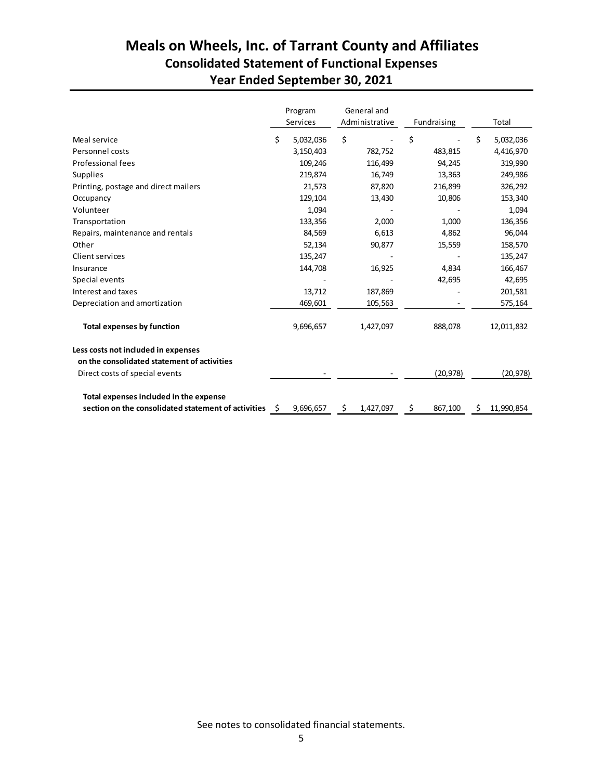# **Meals on Wheels, Inc. of Tarrant County and Affiliates Consolidated Statement of Functional Expenses Year Ended September 30, 2021**

|                                                                                    | Program<br>Services |           | General and<br>Administrative |           | Fundraising |           | Total            |
|------------------------------------------------------------------------------------|---------------------|-----------|-------------------------------|-----------|-------------|-----------|------------------|
| Meal service                                                                       | \$                  | 5,032,036 | \$                            |           | \$          |           | \$<br>5,032,036  |
| Personnel costs                                                                    |                     | 3,150,403 |                               | 782,752   |             | 483,815   | 4,416,970        |
| Professional fees                                                                  |                     | 109,246   |                               | 116,499   |             | 94,245    | 319,990          |
| Supplies                                                                           |                     | 219,874   |                               | 16,749    |             | 13,363    | 249,986          |
| Printing, postage and direct mailers                                               |                     | 21,573    |                               | 87,820    |             | 216,899   | 326,292          |
| Occupancy                                                                          |                     | 129,104   |                               | 13,430    |             | 10,806    | 153,340          |
| Volunteer                                                                          |                     | 1,094     |                               |           |             |           | 1,094            |
| Transportation                                                                     |                     | 133,356   |                               | 2,000     |             | 1,000     | 136,356          |
| Repairs, maintenance and rentals                                                   |                     | 84,569    |                               | 6,613     |             | 4,862     | 96,044           |
| Other                                                                              |                     | 52,134    |                               | 90,877    |             | 15,559    | 158,570          |
| Client services                                                                    |                     | 135,247   |                               |           |             |           | 135,247          |
| Insurance                                                                          |                     | 144,708   |                               | 16,925    |             | 4,834     | 166,467          |
| Special events                                                                     |                     |           |                               |           |             | 42,695    | 42,695           |
| Interest and taxes                                                                 |                     | 13,712    |                               | 187,869   |             |           | 201,581          |
| Depreciation and amortization                                                      |                     | 469,601   |                               | 105,563   |             |           | 575,164          |
| <b>Total expenses by function</b>                                                  |                     | 9,696,657 |                               | 1,427,097 |             | 888,078   | 12,011,832       |
| Less costs not included in expenses<br>on the consolidated statement of activities |                     |           |                               |           |             |           |                  |
| Direct costs of special events                                                     |                     |           |                               |           |             | (20, 978) | (20, 978)        |
| Total expenses included in the expense                                             |                     |           |                               |           |             |           |                  |
| section on the consolidated statement of activities                                | \$                  | 9,696,657 | \$                            | 1,427,097 | \$          | 867,100   | \$<br>11,990,854 |

See notes to consolidated financial statements.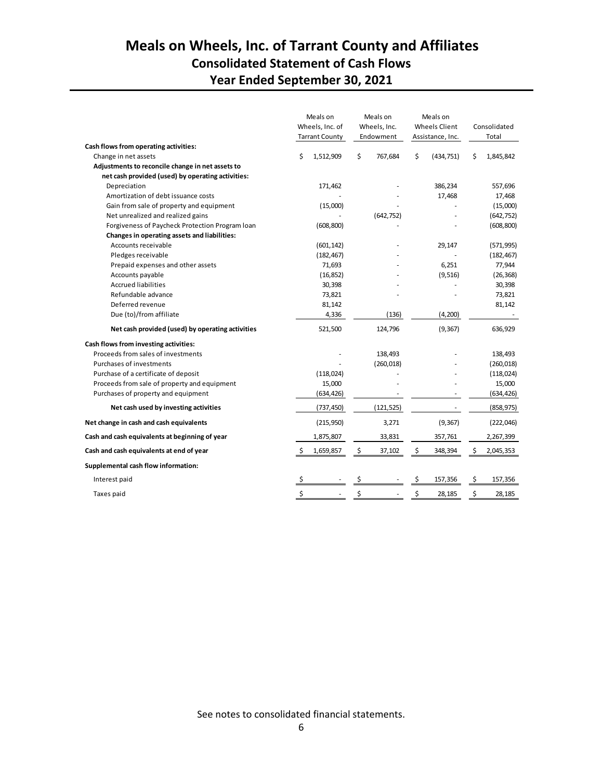# **Meals on Wheels, Inc. of Tarrant County and Affiliates Consolidated Statement of Cash Flows Year Ended September 30, 2021**

|                                                                                                 | Meals on<br>Wheels, Inc. of<br><b>Tarrant County</b> |                          | Meals on<br>Wheels, Inc.<br>Endowment |            | Meals on<br><b>Wheels Client</b><br>Assistance, Inc. |            |    | Consolidated<br>Total |
|-------------------------------------------------------------------------------------------------|------------------------------------------------------|--------------------------|---------------------------------------|------------|------------------------------------------------------|------------|----|-----------------------|
| Cash flows from operating activities:                                                           |                                                      |                          |                                       |            |                                                      |            |    |                       |
| Change in net assets                                                                            | \$                                                   | 1,512,909                | \$                                    | 767,684    | \$                                                   | (434, 751) | \$ | 1,845,842             |
| Adjustments to reconcile change in net assets to                                                |                                                      |                          |                                       |            |                                                      |            |    |                       |
| net cash provided (used) by operating activities:                                               |                                                      |                          |                                       |            |                                                      |            |    |                       |
| Depreciation                                                                                    |                                                      | 171,462                  |                                       |            |                                                      | 386,234    |    | 557,696               |
| Amortization of debt issuance costs                                                             |                                                      |                          |                                       |            |                                                      | 17,468     |    | 17,468                |
| Gain from sale of property and equipment                                                        |                                                      | (15,000)                 |                                       |            |                                                      |            |    | (15,000)              |
| Net unrealized and realized gains                                                               |                                                      |                          |                                       | (642, 752) |                                                      |            |    | (642, 752)            |
| Forgiveness of Paycheck Protection Program Ioan<br>Changes in operating assets and liabilities: |                                                      | (608, 800)               |                                       |            |                                                      |            |    | (608, 800)            |
| Accounts receivable                                                                             |                                                      |                          |                                       |            |                                                      | 29,147     |    |                       |
| Pledges receivable                                                                              |                                                      | (601, 142)<br>(182, 467) |                                       |            |                                                      |            |    | (571, 995)            |
| Prepaid expenses and other assets                                                               |                                                      | 71,693                   |                                       |            |                                                      | 6,251      |    | (182, 467)<br>77,944  |
| Accounts payable                                                                                |                                                      | (16, 852)                |                                       |            |                                                      | (9, 516)   |    | (26, 368)             |
| <b>Accrued liabilities</b>                                                                      |                                                      | 30,398                   |                                       |            |                                                      |            |    | 30,398                |
| Refundable advance                                                                              |                                                      | 73,821                   |                                       |            |                                                      |            |    | 73,821                |
| Deferred revenue                                                                                |                                                      | 81,142                   |                                       |            |                                                      |            |    | 81,142                |
| Due (to)/from affiliate                                                                         |                                                      | 4,336                    |                                       | (136)      |                                                      | (4,200)    |    |                       |
| Net cash provided (used) by operating activities                                                |                                                      | 521,500                  |                                       | 124,796    |                                                      | (9, 367)   |    | 636,929               |
|                                                                                                 |                                                      |                          |                                       |            |                                                      |            |    |                       |
| Cash flows from investing activities:                                                           |                                                      |                          |                                       |            |                                                      |            |    |                       |
| Proceeds from sales of investments                                                              |                                                      |                          |                                       | 138,493    |                                                      |            |    | 138,493               |
| Purchases of investments                                                                        |                                                      |                          |                                       | (260, 018) |                                                      |            |    | (260, 018)            |
| Purchase of a certificate of deposit                                                            |                                                      | (118, 024)               |                                       |            |                                                      |            |    | (118, 024)            |
| Proceeds from sale of property and equipment                                                    |                                                      | 15,000                   |                                       |            |                                                      |            |    | 15,000                |
| Purchases of property and equipment                                                             |                                                      | (634, 426)               |                                       |            |                                                      |            |    | (634, 426)            |
| Net cash used by investing activities                                                           |                                                      | (737, 450)               |                                       | (121, 525) |                                                      |            |    | (858, 975)            |
| Net change in cash and cash equivalents                                                         |                                                      | (215,950)                |                                       | 3,271      |                                                      | (9, 367)   |    | (222,046)             |
| Cash and cash equivalents at beginning of year                                                  |                                                      | 1,875,807                |                                       | 33,831     |                                                      | 357,761    |    | 2,267,399             |
| Cash and cash equivalents at end of year                                                        | \$                                                   | 1,659,857                | \$                                    | 37,102     | \$                                                   | 348,394    | \$ | 2,045,353             |
| Supplemental cash flow information:                                                             |                                                      |                          |                                       |            |                                                      |            |    |                       |
| Interest paid                                                                                   | \$                                                   |                          | \$                                    |            | \$                                                   | 157,356    | \$ | 157,356               |
| Taxes paid                                                                                      | \$                                                   |                          | \$                                    |            | \$                                                   | 28,185     | Ś  | 28,185                |

See notes to consolidated financial statements.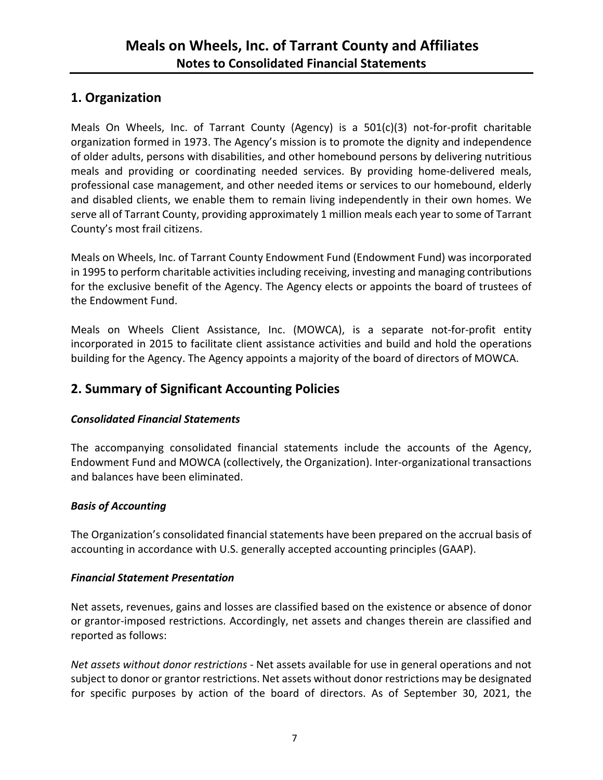## **1. Organization**

Meals On Wheels, Inc. of Tarrant County (Agency) is a 501(c)(3) not-for-profit charitable organization formed in 1973. The Agency's mission is to promote the dignity and independence of older adults, persons with disabilities, and other homebound persons by delivering nutritious meals and providing or coordinating needed services. By providing home-delivered meals, professional case management, and other needed items or services to our homebound, elderly and disabled clients, we enable them to remain living independently in their own homes. We serve all of Tarrant County, providing approximately 1 million meals each year to some of Tarrant County's most frail citizens.

Meals on Wheels, Inc. of Tarrant County Endowment Fund (Endowment Fund) was incorporated in 1995 to perform charitable activities including receiving, investing and managing contributions for the exclusive benefit of the Agency. The Agency elects or appoints the board of trustees of the Endowment Fund.

Meals on Wheels Client Assistance, Inc. (MOWCA), is a separate not-for-profit entity incorporated in 2015 to facilitate client assistance activities and build and hold the operations building for the Agency. The Agency appoints a majority of the board of directors of MOWCA.

## **2. Summary of Significant Accounting Policies**

### *Consolidated Financial Statements*

The accompanying consolidated financial statements include the accounts of the Agency, Endowment Fund and MOWCA (collectively, the Organization). Inter-organizational transactions and balances have been eliminated.

### *Basis of Accounting*

The Organization's consolidated financial statements have been prepared on the accrual basis of accounting in accordance with U.S. generally accepted accounting principles (GAAP).

### *Financial Statement Presentation*

Net assets, revenues, gains and losses are classified based on the existence or absence of donor or grantor-imposed restrictions. Accordingly, net assets and changes therein are classified and reported as follows:

*Net assets without donor restrictions* - Net assets available for use in general operations and not subject to donor or grantor restrictions. Net assets without donor restrictions may be designated for specific purposes by action of the board of directors. As of September 30, 2021, the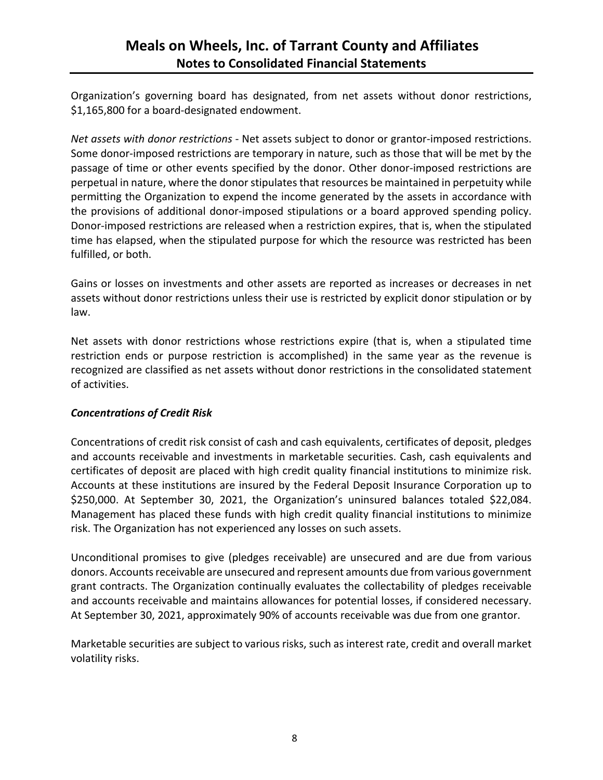# **Meals on Wheels, Inc. of Tarrant County and Affiliates Notes to Consolidated Financial Statements**

Organization's governing board has designated, from net assets without donor restrictions, \$1,165,800 for a board-designated endowment.

*Net assets with donor restrictions* - Net assets subject to donor or grantor-imposed restrictions. Some donor-imposed restrictions are temporary in nature, such as those that will be met by the passage of time or other events specified by the donor. Other donor-imposed restrictions are perpetual in nature, where the donor stipulates that resources be maintained in perpetuity while permitting the Organization to expend the income generated by the assets in accordance with the provisions of additional donor-imposed stipulations or a board approved spending policy. Donor-imposed restrictions are released when a restriction expires, that is, when the stipulated time has elapsed, when the stipulated purpose for which the resource was restricted has been fulfilled, or both.

Gains or losses on investments and other assets are reported as increases or decreases in net assets without donor restrictions unless their use is restricted by explicit donor stipulation or by law.

Net assets with donor restrictions whose restrictions expire (that is, when a stipulated time restriction ends or purpose restriction is accomplished) in the same year as the revenue is recognized are classified as net assets without donor restrictions in the consolidated statement of activities.

### *Concentrations of Credit Risk*

Concentrations of credit risk consist of cash and cash equivalents, certificates of deposit, pledges and accounts receivable and investments in marketable securities. Cash, cash equivalents and certificates of deposit are placed with high credit quality financial institutions to minimize risk. Accounts at these institutions are insured by the Federal Deposit Insurance Corporation up to \$250,000. At September 30, 2021, the Organization's uninsured balances totaled \$22,084. Management has placed these funds with high credit quality financial institutions to minimize risk. The Organization has not experienced any losses on such assets.

Unconditional promises to give (pledges receivable) are unsecured and are due from various donors. Accounts receivable are unsecured and represent amounts due from various government grant contracts. The Organization continually evaluates the collectability of pledges receivable and accounts receivable and maintains allowances for potential losses, if considered necessary. At September 30, 2021, approximately 90% of accounts receivable was due from one grantor.

Marketable securities are subject to various risks, such as interest rate, credit and overall market volatility risks.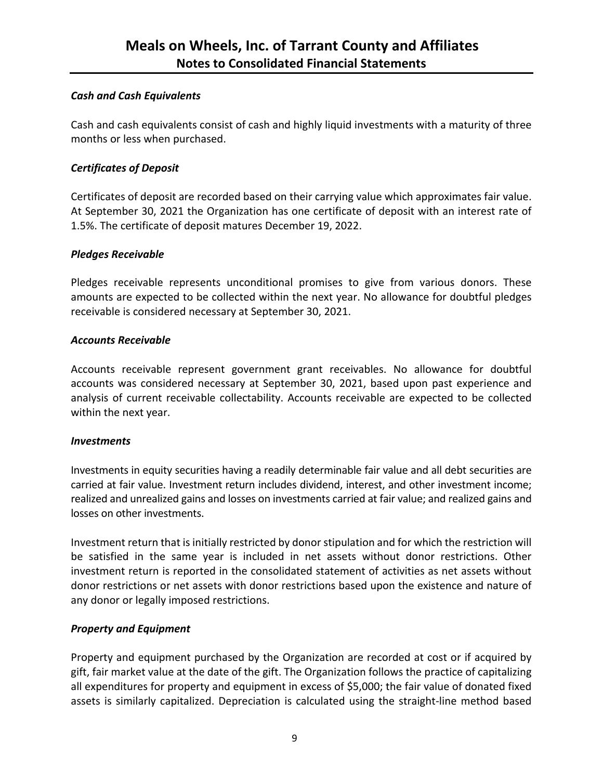### *Cash and Cash Equivalents*

Cash and cash equivalents consist of cash and highly liquid investments with a maturity of three months or less when purchased.

### *Certificates of Deposit*

Certificates of deposit are recorded based on their carrying value which approximates fair value. At September 30, 2021 the Organization has one certificate of deposit with an interest rate of 1.5%. The certificate of deposit matures December 19, 2022.

### *Pledges Receivable*

Pledges receivable represents unconditional promises to give from various donors. These amounts are expected to be collected within the next year. No allowance for doubtful pledges receivable is considered necessary at September 30, 2021.

### *Accounts Receivable*

Accounts receivable represent government grant receivables. No allowance for doubtful accounts was considered necessary at September 30, 2021, based upon past experience and analysis of current receivable collectability. Accounts receivable are expected to be collected within the next year.

#### *Investments*

Investments in equity securities having a readily determinable fair value and all debt securities are carried at fair value. Investment return includes dividend, interest, and other investment income; realized and unrealized gains and losses on investments carried at fair value; and realized gains and losses on other investments.

Investment return that is initially restricted by donor stipulation and for which the restriction will be satisfied in the same year is included in net assets without donor restrictions. Other investment return is reported in the consolidated statement of activities as net assets without donor restrictions or net assets with donor restrictions based upon the existence and nature of any donor or legally imposed restrictions.

### *Property and Equipment*

Property and equipment purchased by the Organization are recorded at cost or if acquired by gift, fair market value at the date of the gift. The Organization follows the practice of capitalizing all expenditures for property and equipment in excess of \$5,000; the fair value of donated fixed assets is similarly capitalized. Depreciation is calculated using the straight-line method based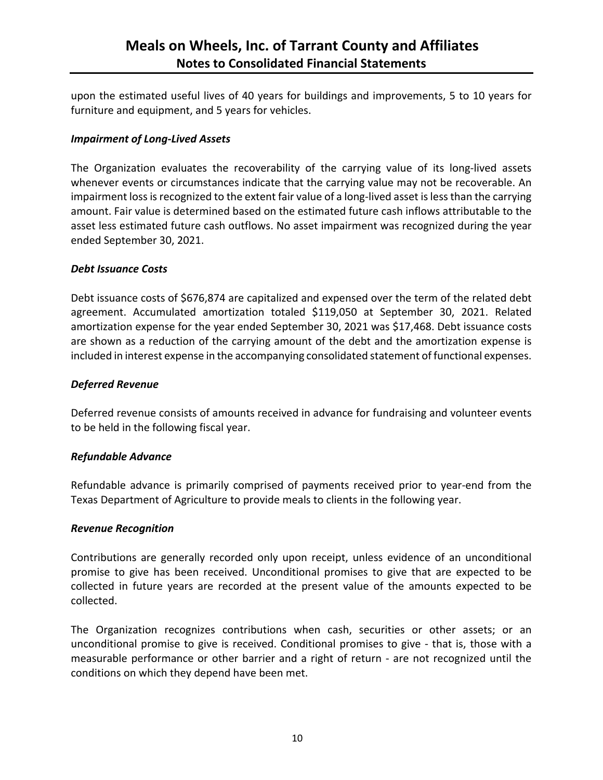# **Meals on Wheels, Inc. of Tarrant County and Affiliates Notes to Consolidated Financial Statements**

upon the estimated useful lives of 40 years for buildings and improvements, 5 to 10 years for furniture and equipment, and 5 years for vehicles.

#### *Impairment of Long-Lived Assets*

The Organization evaluates the recoverability of the carrying value of its long-lived assets whenever events or circumstances indicate that the carrying value may not be recoverable. An impairment loss is recognized to the extent fair value of a long-lived asset is less than the carrying amount. Fair value is determined based on the estimated future cash inflows attributable to the asset less estimated future cash outflows. No asset impairment was recognized during the year ended September 30, 2021.

#### *Debt Issuance Costs*

Debt issuance costs of \$676,874 are capitalized and expensed over the term of the related debt agreement. Accumulated amortization totaled \$119,050 at September 30, 2021. Related amortization expense for the year ended September 30, 2021 was \$17,468. Debt issuance costs are shown as a reduction of the carrying amount of the debt and the amortization expense is included in interest expense in the accompanying consolidated statement of functional expenses.

### *Deferred Revenue*

Deferred revenue consists of amounts received in advance for fundraising and volunteer events to be held in the following fiscal year.

#### *Refundable Advance*

Refundable advance is primarily comprised of payments received prior to year-end from the Texas Department of Agriculture to provide meals to clients in the following year.

#### *Revenue Recognition*

Contributions are generally recorded only upon receipt, unless evidence of an unconditional promise to give has been received. Unconditional promises to give that are expected to be collected in future years are recorded at the present value of the amounts expected to be collected.

The Organization recognizes contributions when cash, securities or other assets; or an unconditional promise to give is received. Conditional promises to give - that is, those with a measurable performance or other barrier and a right of return - are not recognized until the conditions on which they depend have been met.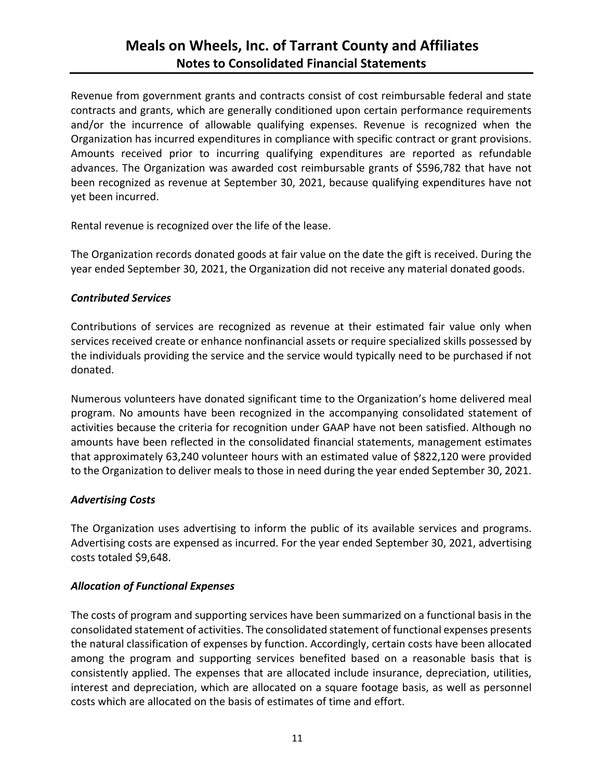# **Meals on Wheels, Inc. of Tarrant County and Affiliates Notes to Consolidated Financial Statements**

Revenue from government grants and contracts consist of cost reimbursable federal and state contracts and grants, which are generally conditioned upon certain performance requirements and/or the incurrence of allowable qualifying expenses. Revenue is recognized when the Organization has incurred expenditures in compliance with specific contract or grant provisions. Amounts received prior to incurring qualifying expenditures are reported as refundable advances. The Organization was awarded cost reimbursable grants of \$596,782 that have not been recognized as revenue at September 30, 2021, because qualifying expenditures have not yet been incurred.

Rental revenue is recognized over the life of the lease.

The Organization records donated goods at fair value on the date the gift is received. During the year ended September 30, 2021, the Organization did not receive any material donated goods.

### *Contributed Services*

Contributions of services are recognized as revenue at their estimated fair value only when services received create or enhance nonfinancial assets or require specialized skills possessed by the individuals providing the service and the service would typically need to be purchased if not donated.

Numerous volunteers have donated significant time to the Organization's home delivered meal program. No amounts have been recognized in the accompanying consolidated statement of activities because the criteria for recognition under GAAP have not been satisfied. Although no amounts have been reflected in the consolidated financial statements, management estimates that approximately 63,240 volunteer hours with an estimated value of \$822,120 were provided to the Organization to deliver meals to those in need during the year ended September 30, 2021.

### *Advertising Costs*

The Organization uses advertising to inform the public of its available services and programs. Advertising costs are expensed as incurred. For the year ended September 30, 2021, advertising costs totaled \$9,648.

#### *Allocation of Functional Expenses*

The costs of program and supporting services have been summarized on a functional basis in the consolidated statement of activities. The consolidated statement of functional expenses presents the natural classification of expenses by function. Accordingly, certain costs have been allocated among the program and supporting services benefited based on a reasonable basis that is consistently applied. The expenses that are allocated include insurance, depreciation, utilities, interest and depreciation, which are allocated on a square footage basis, as well as personnel costs which are allocated on the basis of estimates of time and effort.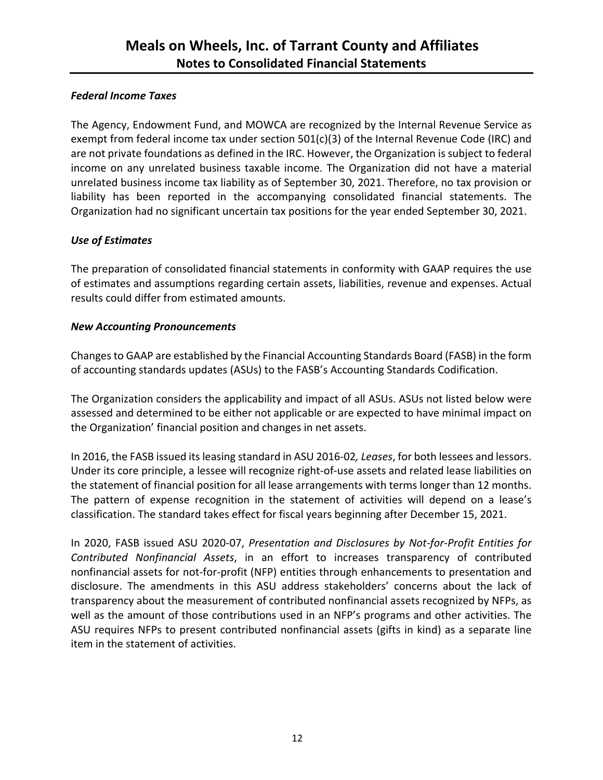### *Federal Income Taxes*

The Agency, Endowment Fund, and MOWCA are recognized by the Internal Revenue Service as exempt from federal income tax under section 501(c)(3) of the Internal Revenue Code (IRC) and are not private foundations as defined in the IRC. However, the Organization is subject to federal income on any unrelated business taxable income. The Organization did not have a material unrelated business income tax liability as of September 30, 2021. Therefore, no tax provision or liability has been reported in the accompanying consolidated financial statements. The Organization had no significant uncertain tax positions for the year ended September 30, 2021.

### *Use of Estimates*

The preparation of consolidated financial statements in conformity with GAAP requires the use of estimates and assumptions regarding certain assets, liabilities, revenue and expenses. Actual results could differ from estimated amounts.

### *New Accounting Pronouncements*

Changes to GAAP are established by the Financial Accounting Standards Board (FASB) in the form of accounting standards updates (ASUs) to the FASB's Accounting Standards Codification.

The Organization considers the applicability and impact of all ASUs. ASUs not listed below were assessed and determined to be either not applicable or are expected to have minimal impact on the Organization' financial position and changes in net assets.

In 2016, the FASB issued its leasing standard in ASU 2016-02*, Leases*, for both lessees and lessors. Under its core principle, a lessee will recognize right-of-use assets and related lease liabilities on the statement of financial position for all lease arrangements with terms longer than 12 months. The pattern of expense recognition in the statement of activities will depend on a lease's classification. The standard takes effect for fiscal years beginning after December 15, 2021.

In 2020, FASB issued ASU 2020-07, *Presentation and Disclosures by Not‐for‐Profit Entities for Contributed Nonfinancial Assets*, in an effort to increases transparency of contributed nonfinancial assets for not-for-profit (NFP) entities through enhancements to presentation and disclosure. The amendments in this ASU address stakeholders' concerns about the lack of transparency about the measurement of contributed nonfinancial assets recognized by NFPs, as well as the amount of those contributions used in an NFP's programs and other activities. The ASU requires NFPs to present contributed nonfinancial assets (gifts in kind) as a separate line item in the statement of activities.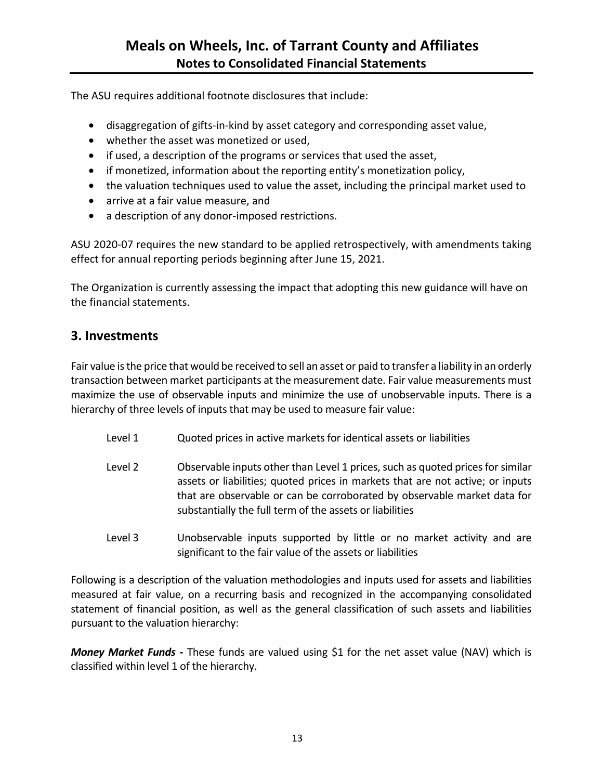The ASU requires additional footnote disclosures that include:

- disaggregation of gifts-in-kind by asset category and corresponding asset value,
- whether the asset was monetized or used,
- if used, a description of the programs or services that used the asset,
- if monetized, information about the reporting entity's monetization policy,
- the valuation techniques used to value the asset, including the principal market used to
- arrive at a fair value measure, and
- a description of any donor-imposed restrictions.

ASU 2020-07 requires the new standard to be applied retrospectively, with amendments taking effect for annual reporting periods beginning after June 15, 2021.

The Organization is currently assessing the impact that adopting this new guidance will have on the financial statements.

### **3. Investments**

Fair value is the price that would be received to sell an asset or paid to transfer a liability in an orderly transaction between market participants at the measurement date. Fair value measurements must maximize the use of observable inputs and minimize the use of unobservable inputs. There is a hierarchy of three levels of inputs that may be used to measure fair value:

- Level 1 Cuoted prices in active markets for identical assets or liabilities
- Level 2 Observable inputs other than Level 1 prices, such as quoted prices for similar assets or liabilities; quoted prices in markets that are not active; or inputs that are observable or can be corroborated by observable market data for substantially the full term of the assets or liabilities
- Level 3 Unobservable inputs supported by little or no market activity and are significant to the fair value of the assets or liabilities

Following is a description of the valuation methodologies and inputs used for assets and liabilities measured at fair value, on a recurring basis and recognized in the accompanying consolidated statement of financial position, as well as the general classification of such assets and liabilities pursuant to the valuation hierarchy:

*Money Market Funds -* These funds are valued using \$1 for the net asset value (NAV) which is classified within level 1 of the hierarchy.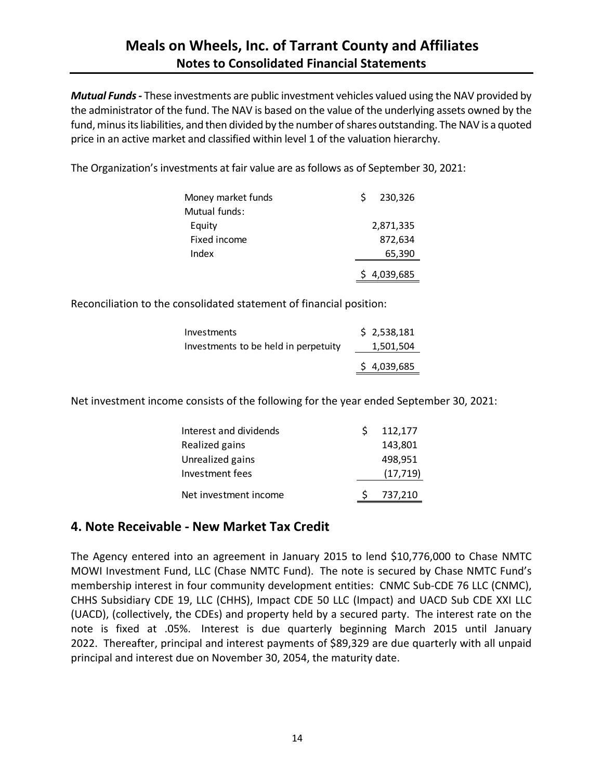# **Meals on Wheels, Inc. of Tarrant County and Affiliates Notes to Consolidated Financial Statements**

*Mutual Funds -* These investments are public investment vehicles valued using the NAV provided by the administrator of the fund. The NAV is based on the value of the underlying assets owned by the fund, minus its liabilities, and then divided by the number of shares outstanding. The NAV is a quoted price in an active market and classified within level 1 of the valuation hierarchy.

The Organization's investments at fair value are as follows as of September 30, 2021:

| Money market funds | S<br>230,326 |
|--------------------|--------------|
| Mutual funds:      |              |
| Equity             | 2,871,335    |
| Fixed income       | 872,634      |
| Index              | 65,390       |
|                    | \$4,039,685  |

Reconciliation to the consolidated statement of financial position:

| Investments                          | \$2,538,181 |
|--------------------------------------|-------------|
| Investments to be held in perpetuity | 1,501,504   |
|                                      | \$4,039,685 |

Net investment income consists of the following for the year ended September 30, 2021:

| Interest and dividends | 112,177   |
|------------------------|-----------|
| Realized gains         | 143,801   |
| Unrealized gains       | 498,951   |
| Investment fees        | (17, 719) |
| Net investment income  | 737,210   |

## **4. Note Receivable - New Market Tax Credit**

The Agency entered into an agreement in January 2015 to lend \$10,776,000 to Chase NMTC MOWI Investment Fund, LLC (Chase NMTC Fund). The note is secured by Chase NMTC Fund's membership interest in four community development entities: CNMC Sub-CDE 76 LLC (CNMC), CHHS Subsidiary CDE 19, LLC (CHHS), Impact CDE 50 LLC (Impact) and UACD Sub CDE XXI LLC (UACD), (collectively, the CDEs) and property held by a secured party. The interest rate on the note is fixed at .05%. Interest is due quarterly beginning March 2015 until January 2022. Thereafter, principal and interest payments of \$89,329 are due quarterly with all unpaid principal and interest due on November 30, 2054, the maturity date.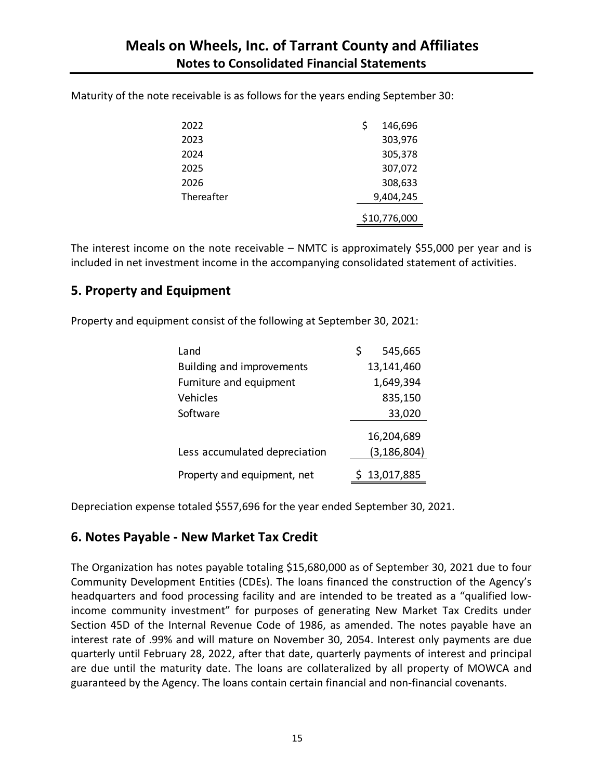| 2022       | Ś<br>146,696 |
|------------|--------------|
| 2023       | 303,976      |
| 2024       | 305,378      |
| 2025       | 307,072      |
| 2026       | 308,633      |
| Thereafter | 9,404,245    |
|            | \$10,776,000 |

Maturity of the note receivable is as follows for the years ending September 30:

The interest income on the note receivable – NMTC is approximately \$55,000 per year and is included in net investment income in the accompanying consolidated statement of activities.

### **5. Property and Equipment**

Property and equipment consist of the following at September 30, 2021:

| Land                             | 545,665       |
|----------------------------------|---------------|
| <b>Building and improvements</b> | 13,141,460    |
| Furniture and equipment          | 1,649,394     |
| Vehicles                         | 835,150       |
| Software                         | 33,020        |
|                                  | 16,204,689    |
| Less accumulated depreciation    | (3, 186, 804) |
| Property and equipment, net      | \$13,017,885  |

Depreciation expense totaled \$557,696 for the year ended September 30, 2021.

### **6. Notes Payable - New Market Tax Credit**

The Organization has notes payable totaling \$15,680,000 as of September 30, 2021 due to four Community Development Entities (CDEs). The loans financed the construction of the Agency's headquarters and food processing facility and are intended to be treated as a "qualified lowincome community investment" for purposes of generating New Market Tax Credits under Section 45D of the Internal Revenue Code of 1986, as amended. The notes payable have an interest rate of .99% and will mature on November 30, 2054. Interest only payments are due quarterly until February 28, 2022, after that date, quarterly payments of interest and principal are due until the maturity date. The loans are collateralized by all property of MOWCA and guaranteed by the Agency. The loans contain certain financial and non-financial covenants.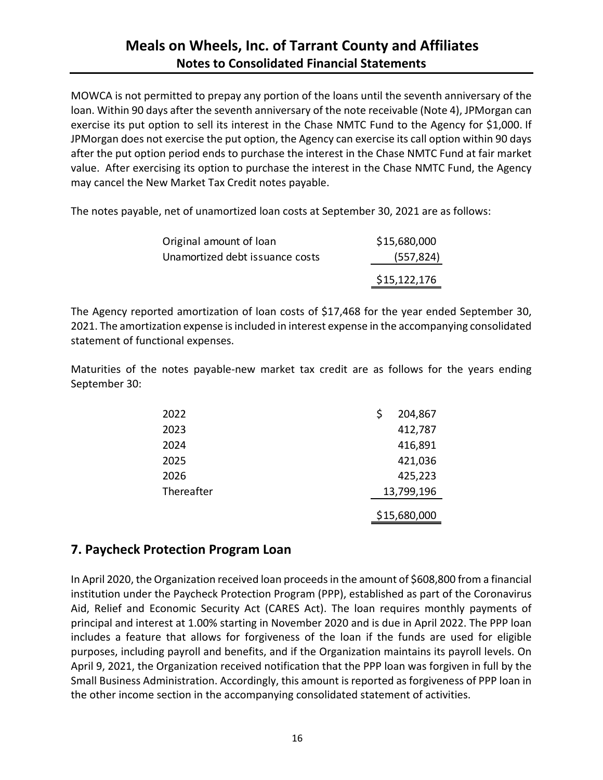# **Meals on Wheels, Inc. of Tarrant County and Affiliates Notes to Consolidated Financial Statements**

MOWCA is not permitted to prepay any portion of the loans until the seventh anniversary of the loan. Within 90 days after the seventh anniversary of the note receivable (Note 4), JPMorgan can exercise its put option to sell its interest in the Chase NMTC Fund to the Agency for \$1,000. If JPMorgan does not exercise the put option, the Agency can exercise its call option within 90 days after the put option period ends to purchase the interest in the Chase NMTC Fund at fair market value. After exercising its option to purchase the interest in the Chase NMTC Fund, the Agency may cancel the New Market Tax Credit notes payable.

The notes payable, net of unamortized loan costs at September 30, 2021 are as follows:

| Original amount of loan         | \$15,680,000 |
|---------------------------------|--------------|
| Unamortized debt issuance costs | (557, 824)   |
|                                 | \$15,122,176 |
|                                 |              |

The Agency reported amortization of loan costs of \$17,468 for the year ended September 30, 2021. The amortization expense is included in interest expense in the accompanying consolidated statement of functional expenses.

Maturities of the notes payable-new market tax credit are as follows for the years ending September 30:

| 2022       | 204,867<br>S |
|------------|--------------|
| 2023       | 412,787      |
| 2024       | 416,891      |
| 2025       | 421,036      |
| 2026       | 425,223      |
| Thereafter | 13,799,196   |
|            | \$15,680,000 |

## **7. Paycheck Protection Program Loan**

In April 2020, the Organization received loan proceeds in the amount of \$608,800 from a financial institution under the Paycheck Protection Program (PPP), established as part of the Coronavirus Aid, Relief and Economic Security Act (CARES Act). The loan requires monthly payments of principal and interest at 1.00% starting in November 2020 and is due in April 2022. The PPP loan includes a feature that allows for forgiveness of the loan if the funds are used for eligible purposes, including payroll and benefits, and if the Organization maintains its payroll levels. On April 9, 2021, the Organization received notification that the PPP loan was forgiven in full by the Small Business Administration. Accordingly, this amount is reported as forgiveness of PPP loan in the other income section in the accompanying consolidated statement of activities.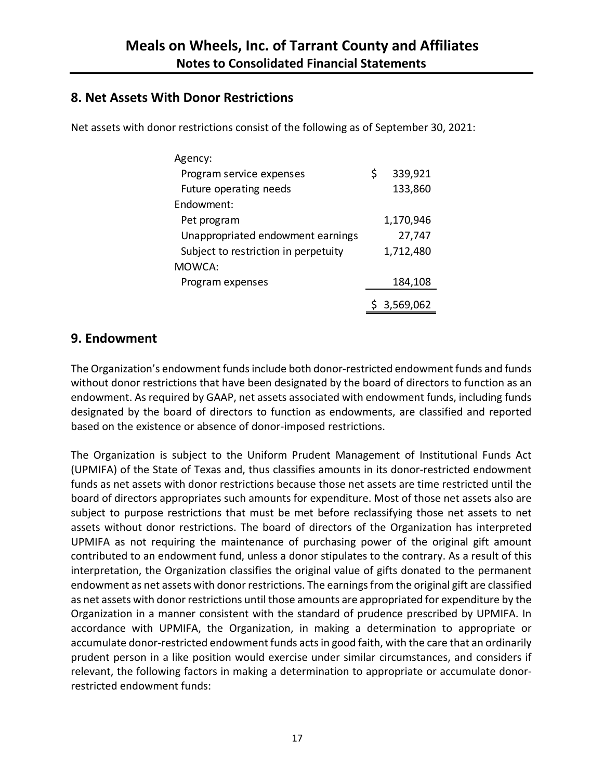## **8. Net Assets With Donor Restrictions**

Net assets with donor restrictions consist of the following as of September 30, 2021:

| Agency:                              |               |
|--------------------------------------|---------------|
| Program service expenses             | \$<br>339,921 |
| Future operating needs               | 133,860       |
| Endowment:                           |               |
| Pet program                          | 1,170,946     |
| Unappropriated endowment earnings    | 27,747        |
| Subject to restriction in perpetuity | 1,712,480     |
| MOWCA:                               |               |
| Program expenses                     | 184,108       |
|                                      | \$3,569,062   |

### **9. Endowment**

The Organization's endowment funds include both donor-restricted endowment funds and funds without donor restrictions that have been designated by the board of directors to function as an endowment. As required by GAAP, net assets associated with endowment funds, including funds designated by the board of directors to function as endowments, are classified and reported based on the existence or absence of donor-imposed restrictions.

The Organization is subject to the Uniform Prudent Management of Institutional Funds Act (UPMIFA) of the State of Texas and, thus classifies amounts in its donor-restricted endowment funds as net assets with donor restrictions because those net assets are time restricted until the board of directors appropriates such amounts for expenditure. Most of those net assets also are subject to purpose restrictions that must be met before reclassifying those net assets to net assets without donor restrictions. The board of directors of the Organization has interpreted UPMIFA as not requiring the maintenance of purchasing power of the original gift amount contributed to an endowment fund, unless a donor stipulates to the contrary. As a result of this interpretation, the Organization classifies the original value of gifts donated to the permanent endowment as net assets with donor restrictions. The earnings from the original gift are classified as net assets with donor restrictions until those amounts are appropriated for expenditure by the Organization in a manner consistent with the standard of prudence prescribed by UPMIFA. In accordance with UPMIFA, the Organization, in making a determination to appropriate or accumulate donor-restricted endowment funds acts in good faith, with the care that an ordinarily prudent person in a like position would exercise under similar circumstances, and considers if relevant, the following factors in making a determination to appropriate or accumulate donorrestricted endowment funds: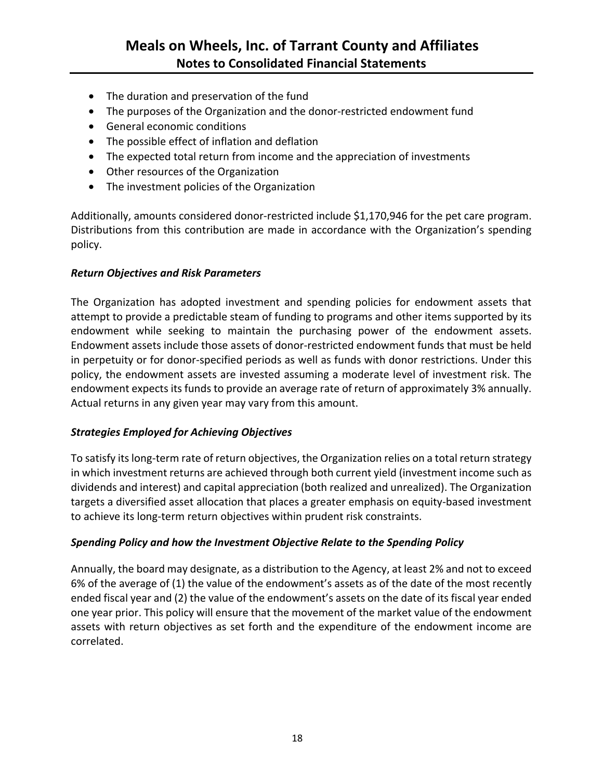# **Meals on Wheels, Inc. of Tarrant County and Affiliates Notes to Consolidated Financial Statements**

- The duration and preservation of the fund
- The purposes of the Organization and the donor-restricted endowment fund
- General economic conditions
- The possible effect of inflation and deflation
- The expected total return from income and the appreciation of investments
- Other resources of the Organization
- The investment policies of the Organization

Additionally, amounts considered donor-restricted include \$1,170,946 for the pet care program. Distributions from this contribution are made in accordance with the Organization's spending policy.

### *Return Objectives and Risk Parameters*

The Organization has adopted investment and spending policies for endowment assets that attempt to provide a predictable steam of funding to programs and other items supported by its endowment while seeking to maintain the purchasing power of the endowment assets. Endowment assets include those assets of donor-restricted endowment funds that must be held in perpetuity or for donor-specified periods as well as funds with donor restrictions. Under this policy, the endowment assets are invested assuming a moderate level of investment risk. The endowment expects its funds to provide an average rate of return of approximately 3% annually. Actual returns in any given year may vary from this amount.

### *Strategies Employed for Achieving Objectives*

To satisfy its long-term rate of return objectives, the Organization relies on a total return strategy in which investment returns are achieved through both current yield (investment income such as dividends and interest) and capital appreciation (both realized and unrealized). The Organization targets a diversified asset allocation that places a greater emphasis on equity-based investment to achieve its long-term return objectives within prudent risk constraints.

### *Spending Policy and how the Investment Objective Relate to the Spending Policy*

Annually, the board may designate, as a distribution to the Agency, at least 2% and not to exceed 6% of the average of (1) the value of the endowment's assets as of the date of the most recently ended fiscal year and (2) the value of the endowment's assets on the date of its fiscal year ended one year prior. This policy will ensure that the movement of the market value of the endowment assets with return objectives as set forth and the expenditure of the endowment income are correlated.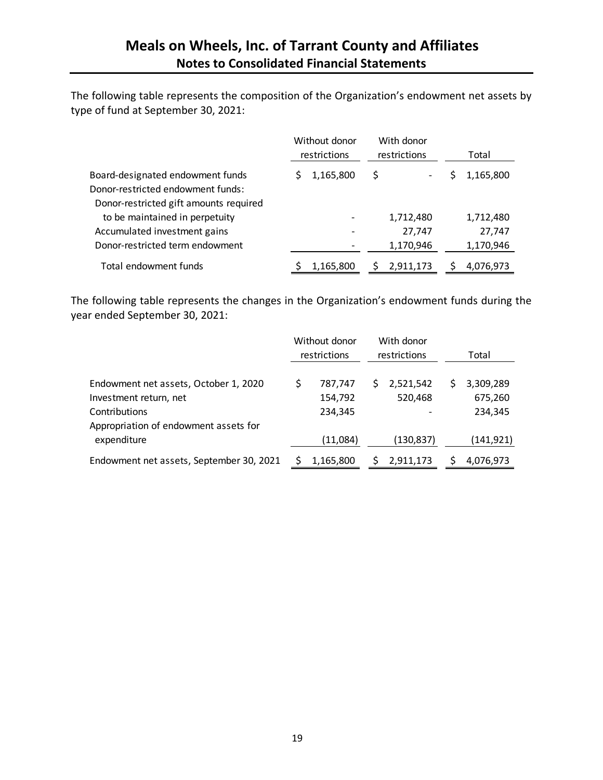The following table represents the composition of the Organization's endowment net assets by type of fund at September 30, 2021:

|                                        | Without donor<br>restrictions |           | With donor<br>restrictions |           | Total |           |
|----------------------------------------|-------------------------------|-----------|----------------------------|-----------|-------|-----------|
|                                        |                               |           |                            |           |       |           |
| Board-designated endowment funds       |                               | 1,165,800 | \$                         |           |       | 1,165,800 |
| Donor-restricted endowment funds:      |                               |           |                            |           |       |           |
| Donor-restricted gift amounts required |                               |           |                            |           |       |           |
| to be maintained in perpetuity         |                               |           |                            | 1,712,480 |       | 1,712,480 |
| Accumulated investment gains           |                               |           |                            | 27,747    |       | 27,747    |
| Donor-restricted term endowment        |                               |           |                            | 1,170,946 |       | 1,170,946 |
| Total endowment funds                  |                               | 1,165,800 |                            | 2,911,173 |       | 4,076,973 |

The following table represents the changes in the Organization's endowment funds during the year ended September 30, 2021:

|                                                                                  | Without donor<br>restrictions |                               | With donor<br>restrictions |                      | Total |                                 |
|----------------------------------------------------------------------------------|-------------------------------|-------------------------------|----------------------------|----------------------|-------|---------------------------------|
| Endowment net assets, October 1, 2020<br>Investment return, net<br>Contributions |                               | 787,747<br>154,792<br>234,345 | S.                         | 2,521,542<br>520,468 | S.    | 3,309,289<br>675,260<br>234,345 |
| Appropriation of endowment assets for<br>expenditure                             |                               | (11,084)                      |                            | (130,837)            |       | (141,921)                       |
| Endowment net assets, September 30, 2021                                         |                               | 1,165,800                     |                            | 2,911,173            |       | 4,076,973                       |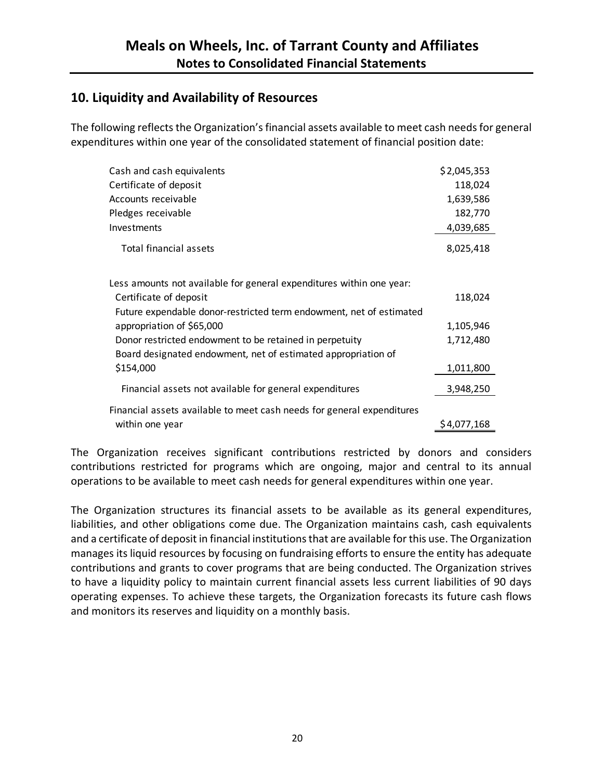### **10. Liquidity and Availability of Resources**

The following reflects the Organization's financial assets available to meet cash needs for general expenditures within one year of the consolidated statement of financial position date:

| Cash and cash equivalents                                              | \$2,045,353 |
|------------------------------------------------------------------------|-------------|
| Certificate of deposit                                                 | 118,024     |
| Accounts receivable                                                    | 1,639,586   |
| Pledges receivable                                                     | 182,770     |
| Investments                                                            | 4,039,685   |
| Total financial assets                                                 | 8,025,418   |
| Less amounts not available for general expenditures within one year:   |             |
| Certificate of deposit                                                 | 118,024     |
| Future expendable donor-restricted term endowment, net of estimated    |             |
| appropriation of \$65,000                                              | 1,105,946   |
| Donor restricted endowment to be retained in perpetuity                | 1,712,480   |
| Board designated endowment, net of estimated appropriation of          |             |
| \$154,000                                                              | 1,011,800   |
| Financial assets not available for general expenditures                | 3,948,250   |
| Financial assets available to meet cash needs for general expenditures |             |
| within one year                                                        | \$4,077,168 |

The Organization receives significant contributions restricted by donors and considers contributions restricted for programs which are ongoing, major and central to its annual operations to be available to meet cash needs for general expenditures within one year.

The Organization structures its financial assets to be available as its general expenditures, liabilities, and other obligations come due. The Organization maintains cash, cash equivalents and a certificate of deposit in financial institutions that are available for this use. The Organization manages its liquid resources by focusing on fundraising efforts to ensure the entity has adequate contributions and grants to cover programs that are being conducted. The Organization strives to have a liquidity policy to maintain current financial assets less current liabilities of 90 days operating expenses. To achieve these targets, the Organization forecasts its future cash flows and monitors its reserves and liquidity on a monthly basis.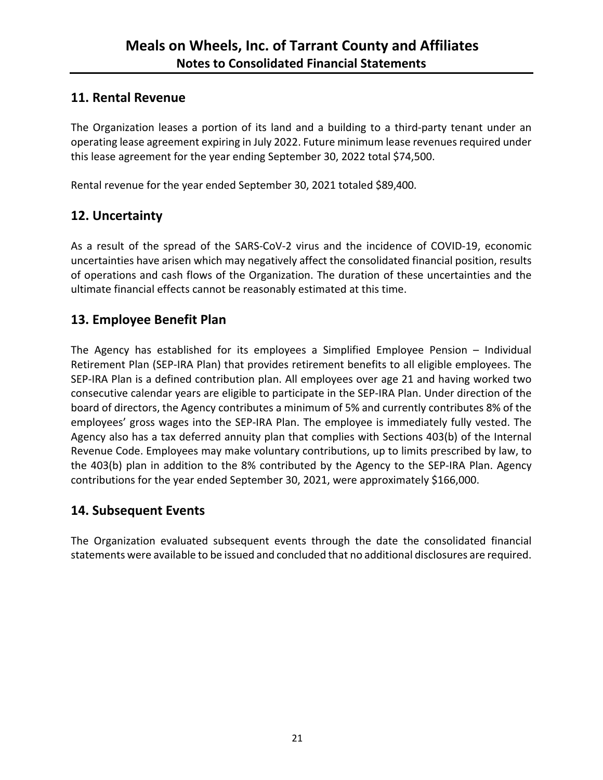### **11. Rental Revenue**

The Organization leases a portion of its land and a building to a third-party tenant under an operating lease agreement expiring in July 2022. Future minimum lease revenues required under this lease agreement for the year ending September 30, 2022 total \$74,500.

Rental revenue for the year ended September 30, 2021 totaled \$89,400.

## **12. Uncertainty**

As a result of the spread of the SARS-CoV-2 virus and the incidence of COVID-19, economic uncertainties have arisen which may negatively affect the consolidated financial position, results of operations and cash flows of the Organization. The duration of these uncertainties and the ultimate financial effects cannot be reasonably estimated at this time.

## **13. Employee Benefit Plan**

The Agency has established for its employees a Simplified Employee Pension – Individual Retirement Plan (SEP-IRA Plan) that provides retirement benefits to all eligible employees. The SEP-IRA Plan is a defined contribution plan. All employees over age 21 and having worked two consecutive calendar years are eligible to participate in the SEP-IRA Plan. Under direction of the board of directors, the Agency contributes a minimum of 5% and currently contributes 8% of the employees' gross wages into the SEP-IRA Plan. The employee is immediately fully vested. The Agency also has a tax deferred annuity plan that complies with Sections 403(b) of the Internal Revenue Code. Employees may make voluntary contributions, up to limits prescribed by law, to the 403(b) plan in addition to the 8% contributed by the Agency to the SEP-IRA Plan. Agency contributions for the year ended September 30, 2021, were approximately \$166,000.

## **14. Subsequent Events**

The Organization evaluated subsequent events through the date the consolidated financial statements were available to be issued and concluded that no additional disclosures are required.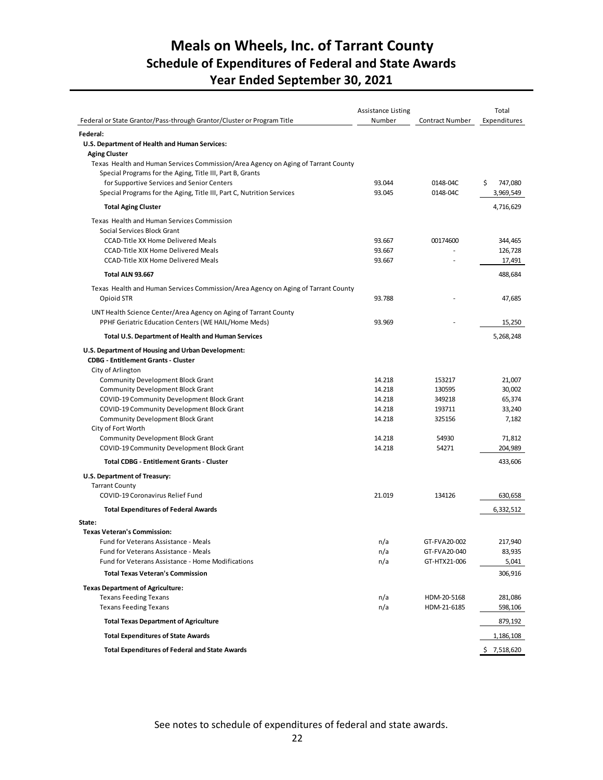## **Meals on Wheels, Inc. of Tarrant County Schedule of Expenditures of Federal and State Awards Year Ended September 30, 2021**

| Federal or State Grantor/Pass-through Grantor/Cluster or Program Title                          | <b>Assistance Listing</b><br>Number |                 | Total<br>Expenditures |
|-------------------------------------------------------------------------------------------------|-------------------------------------|-----------------|-----------------------|
|                                                                                                 |                                     | Contract Number |                       |
| Federal:<br>U.S. Department of Health and Human Services:                                       |                                     |                 |                       |
| <b>Aging Cluster</b>                                                                            |                                     |                 |                       |
| Texas Health and Human Services Commission/Area Agency on Aging of Tarrant County               |                                     |                 |                       |
| Special Programs for the Aging, Title III, Part B, Grants                                       |                                     |                 |                       |
| for Supportive Services and Senior Centers                                                      | 93.044                              | 0148-04C        | \$<br>747,080         |
| Special Programs for the Aging, Title III, Part C, Nutrition Services                           | 93.045                              | 0148-04C        | 3,969,549             |
| <b>Total Aging Cluster</b>                                                                      |                                     |                 | 4,716,629             |
| Texas Health and Human Services Commission                                                      |                                     |                 |                       |
| Social Services Block Grant                                                                     |                                     |                 |                       |
| <b>CCAD-Title XX Home Delivered Meals</b>                                                       | 93.667                              | 00174600        | 344,465               |
| <b>CCAD-Title XIX Home Delivered Meals</b>                                                      | 93.667                              |                 | 126,728               |
| <b>CCAD-Title XIX Home Delivered Meals</b>                                                      | 93.667                              |                 | 17,491                |
| Total ALN 93.667                                                                                |                                     |                 | 488,684               |
| Texas Health and Human Services Commission/Area Agency on Aging of Tarrant County               |                                     |                 |                       |
| Opioid STR                                                                                      | 93.788                              |                 | 47,685                |
| UNT Health Science Center/Area Agency on Aging of Tarrant County                                |                                     |                 |                       |
| PPHF Geriatric Education Centers (WE HAIL/Home Meds)                                            | 93.969                              |                 | 15,250                |
| Total U.S. Department of Health and Human Services                                              |                                     |                 | 5,268,248             |
| U.S. Department of Housing and Urban Development:<br><b>CDBG - Entitlement Grants - Cluster</b> |                                     |                 |                       |
| City of Arlington                                                                               |                                     |                 |                       |
| <b>Community Development Block Grant</b>                                                        | 14.218                              | 153217          | 21,007                |
| <b>Community Development Block Grant</b>                                                        | 14.218                              | 130595          | 30,002                |
| COVID-19 Community Development Block Grant                                                      | 14.218                              | 349218          | 65,374                |
| COVID-19 Community Development Block Grant                                                      | 14.218                              | 193711          | 33,240                |
| <b>Community Development Block Grant</b>                                                        | 14.218                              | 325156          | 7,182                 |
| City of Fort Worth                                                                              |                                     |                 |                       |
| <b>Community Development Block Grant</b>                                                        | 14.218                              | 54930           | 71,812                |
| COVID-19 Community Development Block Grant                                                      | 14.218                              | 54271           | 204,989               |
| <b>Total CDBG - Entitlement Grants - Cluster</b>                                                |                                     |                 | 433,606               |
| U.S. Department of Treasury:                                                                    |                                     |                 |                       |
| <b>Tarrant County</b><br><b>COVID-19 Coronavirus Relief Fund</b>                                |                                     |                 |                       |
|                                                                                                 | 21.019                              | 134126          | 630,658               |
| <b>Total Expenditures of Federal Awards</b>                                                     |                                     |                 | 6,332,512             |
| State:                                                                                          |                                     |                 |                       |
| <b>Texas Veteran's Commission:</b>                                                              |                                     |                 |                       |
| Fund for Veterans Assistance - Meals                                                            | n/a                                 | GT-FVA20-002    | 217,940               |
| Fund for Veterans Assistance - Meals                                                            | n/a                                 | GT-FVA20-040    | 83,935                |
| Fund for Veterans Assistance - Home Modifications                                               | n/a                                 | GT-HTX21-006    | 5,041                 |
| <b>Total Texas Veteran's Commission</b>                                                         |                                     |                 | 306,916               |
| <b>Texas Department of Agriculture:</b>                                                         |                                     |                 |                       |
| <b>Texans Feeding Texans</b>                                                                    | n/a                                 | HDM-20-5168     | 281,086               |
| <b>Texans Feeding Texans</b>                                                                    | n/a                                 | HDM-21-6185     | 598,106               |
| <b>Total Texas Department of Agriculture</b>                                                    |                                     |                 | 879,192               |
| <b>Total Expenditures of State Awards</b>                                                       |                                     |                 | 1,186,108             |
| <b>Total Expenditures of Federal and State Awards</b>                                           |                                     |                 | \$7,518,620           |

See notes to schedule of expenditures of federal and state awards.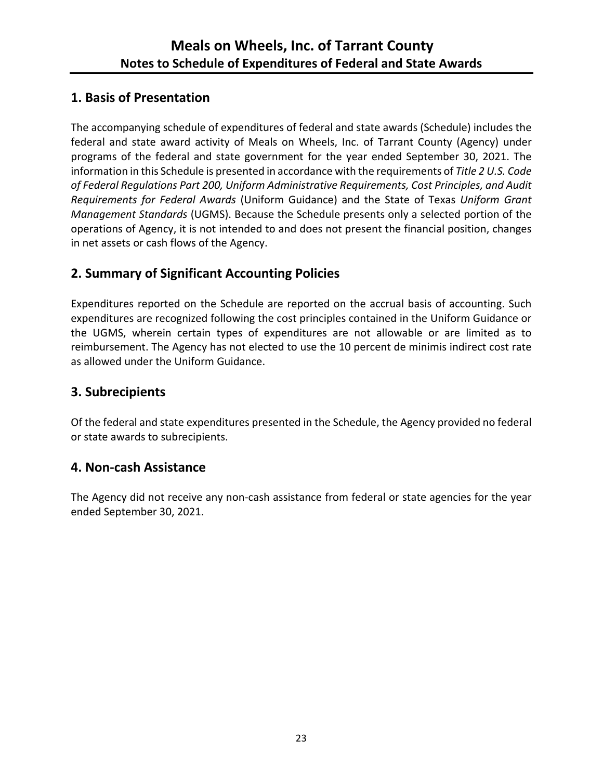## **1. Basis of Presentation**

The accompanying schedule of expenditures of federal and state awards (Schedule) includes the federal and state award activity of Meals on Wheels, Inc. of Tarrant County (Agency) under programs of the federal and state government for the year ended September 30, 2021. The information in this Schedule is presented in accordance with the requirements of *Title 2 U.S. Code of Federal Regulations Part 200, Uniform Administrative Requirements, Cost Principles, and Audit Requirements for Federal Awards* (Uniform Guidance) and the State of Texas *Uniform Grant Management Standards* (UGMS). Because the Schedule presents only a selected portion of the operations of Agency, it is not intended to and does not present the financial position, changes in net assets or cash flows of the Agency.

## **2. Summary of Significant Accounting Policies**

Expenditures reported on the Schedule are reported on the accrual basis of accounting. Such expenditures are recognized following the cost principles contained in the Uniform Guidance or the UGMS, wherein certain types of expenditures are not allowable or are limited as to reimbursement. The Agency has not elected to use the 10 percent de minimis indirect cost rate as allowed under the Uniform Guidance.

## **3. Subrecipients**

Of the federal and state expenditures presented in the Schedule, the Agency provided no federal or state awards to subrecipients.

### **4. Non-cash Assistance**

The Agency did not receive any non-cash assistance from federal or state agencies for the year ended September 30, 2021.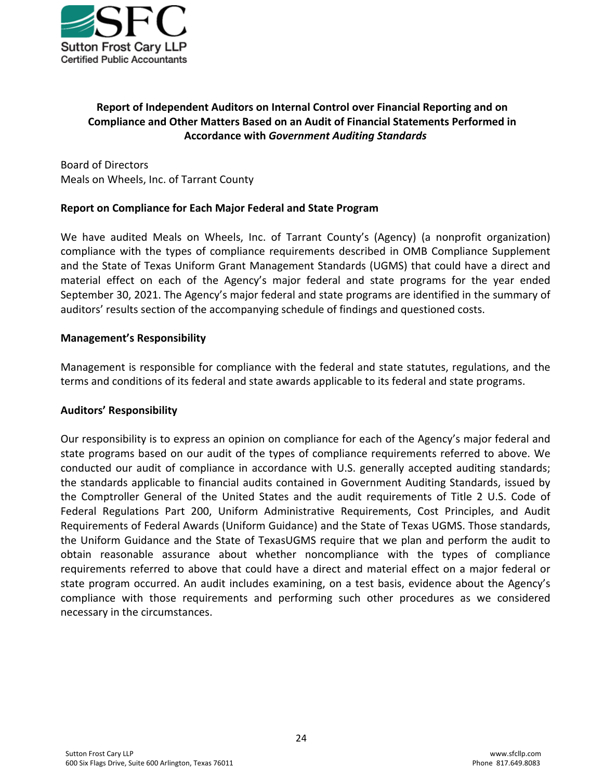

### **Report of Independent Auditors on Internal Control over Financial Reporting and on Compliance and Other Matters Based on an Audit of Financial Statements Performed in Accordance with** *Government Auditing Standards*

Board of Directors Meals on Wheels, Inc. of Tarrant County

### **Report on Compliance for Each Major Federal and State Program**

We have audited Meals on Wheels, Inc. of Tarrant County's (Agency) (a nonprofit organization) compliance with the types of compliance requirements described in OMB Compliance Supplement and the State of Texas Uniform Grant Management Standards (UGMS) that could have a direct and material effect on each of the Agency's major federal and state programs for the year ended September 30, 2021. The Agency's major federal and state programs are identified in the summary of auditors' results section of the accompanying schedule of findings and questioned costs.

#### **Management's Responsibility**

Management is responsible for compliance with the federal and state statutes, regulations, and the terms and conditions of its federal and state awards applicable to its federal and state programs.

#### **Auditors' Responsibility**

Our responsibility is to express an opinion on compliance for each of the Agency's major federal and state programs based on our audit of the types of compliance requirements referred to above. We conducted our audit of compliance in accordance with U.S. generally accepted auditing standards; the standards applicable to financial audits contained in Government Auditing Standards, issued by the Comptroller General of the United States and the audit requirements of Title 2 U.S. Code of Federal Regulations Part 200, Uniform Administrative Requirements, Cost Principles, and Audit Requirements of Federal Awards (Uniform Guidance) and the State of Texas UGMS. Those standards, the Uniform Guidance and the State of TexasUGMS require that we plan and perform the audit to obtain reasonable assurance about whether noncompliance with the types of compliance requirements referred to above that could have a direct and material effect on a major federal or state program occurred. An audit includes examining, on a test basis, evidence about the Agency's compliance with those requirements and performing such other procedures as we considered necessary in the circumstances.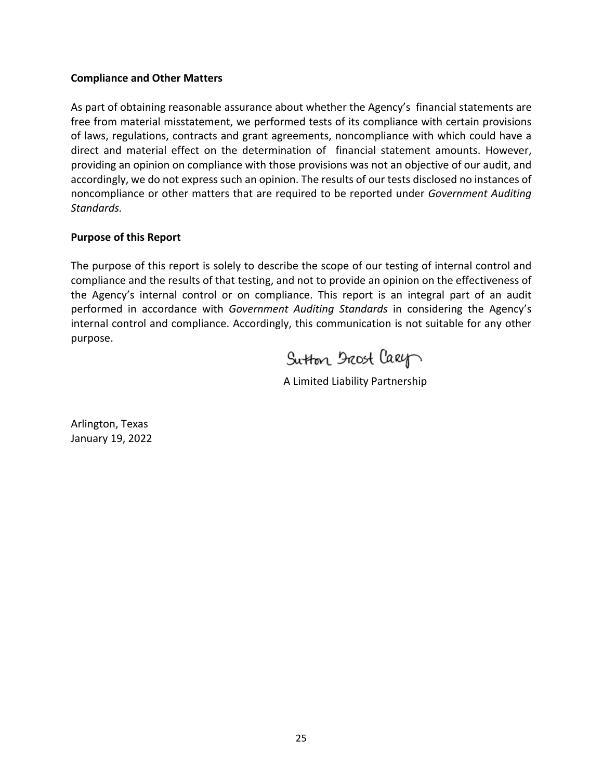#### **Compliance and Other Matters**

As part of obtaining reasonable assurance about whether the Agency's financial statements are free from material misstatement, we performed tests of its compliance with certain provisions of laws, regulations, contracts and grant agreements, noncompliance with which could have a direct and material effect on the determination of financial statement amounts. However, providing an opinion on compliance with those provisions was not an objective of our audit, and accordingly, we do not express such an opinion. The results of our tests disclosed no instances of noncompliance or other matters that are required to be reported under *Government Auditing Standards.* 

#### **Purpose of this Report**

The purpose of this report is solely to describe the scope of our testing of internal control and compliance and the results of that testing, and not to provide an opinion on the effectiveness of the Agency's internal control or on compliance. This report is an integral part of an audit performed in accordance with *Government Auditing Standards* in considering the Agency's internal control and compliance. Accordingly, this communication is not suitable for any other purpose.

Sutton Drost Cary

A Limited Liability Partnership

Arlington, Texas January 19, 2022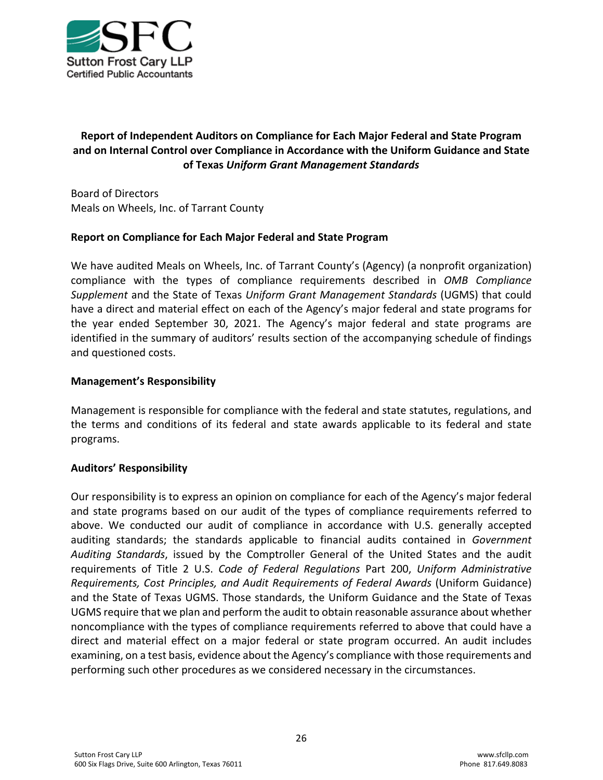

### **Report of Independent Auditors on Compliance for Each Major Federal and State Program and on Internal Control over Compliance in Accordance with the Uniform Guidance and State of Texas** *Uniform Grant Management Standards*

Board of Directors Meals on Wheels, Inc. of Tarrant County

#### **Report on Compliance for Each Major Federal and State Program**

We have audited Meals on Wheels, Inc. of Tarrant County's (Agency) (a nonprofit organization) compliance with the types of compliance requirements described in *OMB Compliance Supplement* and the State of Texas *Uniform Grant Management Standards* (UGMS) that could have a direct and material effect on each of the Agency's major federal and state programs for the year ended September 30, 2021. The Agency's major federal and state programs are identified in the summary of auditors' results section of the accompanying schedule of findings and questioned costs.

#### **Management's Responsibility**

Management is responsible for compliance with the federal and state statutes, regulations, and the terms and conditions of its federal and state awards applicable to its federal and state programs.

#### **Auditors' Responsibility**

Our responsibility is to express an opinion on compliance for each of the Agency's major federal and state programs based on our audit of the types of compliance requirements referred to above. We conducted our audit of compliance in accordance with U.S. generally accepted auditing standards; the standards applicable to financial audits contained in *Government Auditing Standards*, issued by the Comptroller General of the United States and the audit requirements of Title 2 U.S. *Code of Federal Regulations*  Part 200, *Uniform Administrative Requirements, Cost Principles, and Audit Requirements of Federal Awards* (Uniform Guidance) and the State of Texas UGMS. Those standards, the Uniform Guidance and the State of Texas UGMS require that we plan and perform the audit to obtain reasonable assurance about whether noncompliance with the types of compliance requirements referred to above that could have a direct and material effect on a major federal or state program occurred. An audit includes examining, on a test basis, evidence about the Agency's compliance with those requirements and performing such other procedures as we considered necessary in the circumstances.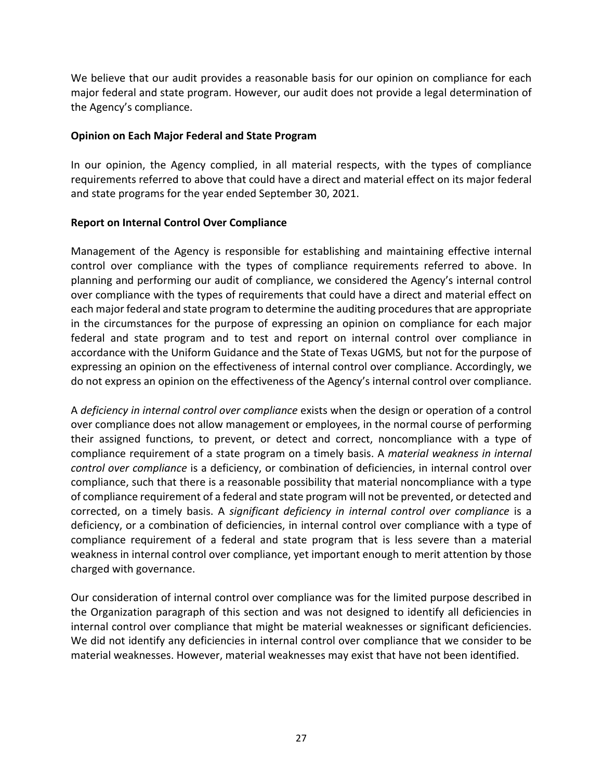We believe that our audit provides a reasonable basis for our opinion on compliance for each major federal and state program. However, our audit does not provide a legal determination of the Agency's compliance.

### **Opinion on Each Major Federal and State Program**

In our opinion, the Agency complied, in all material respects, with the types of compliance requirements referred to above that could have a direct and material effect on its major federal and state programs for the year ended September 30, 2021.

### **Report on Internal Control Over Compliance**

Management of the Agency is responsible for establishing and maintaining effective internal control over compliance with the types of compliance requirements referred to above. In planning and performing our audit of compliance, we considered the Agency's internal control over compliance with the types of requirements that could have a direct and material effect on each major federal and state program to determine the auditing procedures that are appropriate in the circumstances for the purpose of expressing an opinion on compliance for each major federal and state program and to test and report on internal control over compliance in accordance with the Uniform Guidance and the State of Texas UGMS*,* but not for the purpose of expressing an opinion on the effectiveness of internal control over compliance. Accordingly, we do not express an opinion on the effectiveness of the Agency's internal control over compliance.

A *deficiency in internal control over compliance* exists when the design or operation of a control over compliance does not allow management or employees, in the normal course of performing their assigned functions, to prevent, or detect and correct, noncompliance with a type of compliance requirement of a state program on a timely basis. A *material weakness in internal control over compliance* is a deficiency, or combination of deficiencies, in internal control over compliance, such that there is a reasonable possibility that material noncompliance with a type of compliance requirement of a federal and state program will not be prevented, or detected and corrected, on a timely basis. A *significant deficiency in internal control over compliance* is a deficiency, or a combination of deficiencies, in internal control over compliance with a type of compliance requirement of a federal and state program that is less severe than a material weakness in internal control over compliance, yet important enough to merit attention by those charged with governance.

Our consideration of internal control over compliance was for the limited purpose described in the Organization paragraph of this section and was not designed to identify all deficiencies in internal control over compliance that might be material weaknesses or significant deficiencies. We did not identify any deficiencies in internal control over compliance that we consider to be material weaknesses. However, material weaknesses may exist that have not been identified.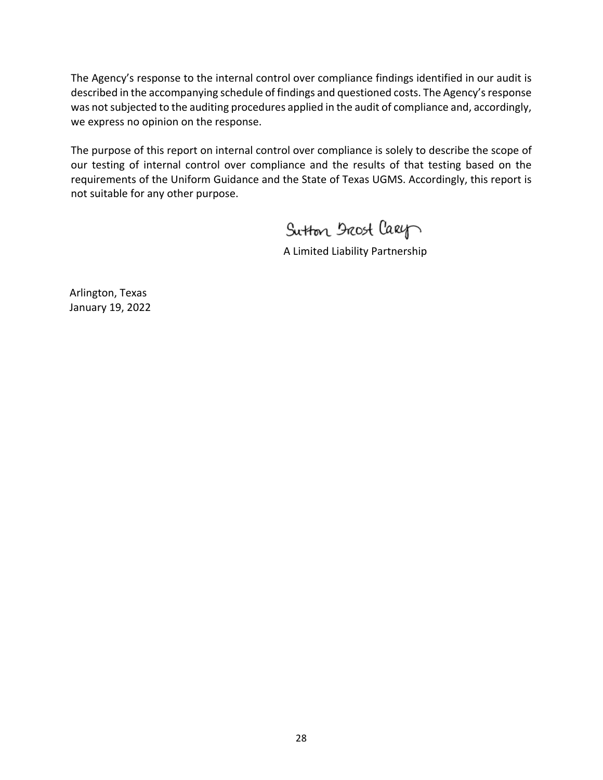The Agency's response to the internal control over compliance findings identified in our audit is described in the accompanying schedule of findings and questioned costs. The Agency's response was not subjected to the auditing procedures applied in the audit of compliance and, accordingly, we express no opinion on the response.

The purpose of this report on internal control over compliance is solely to describe the scope of our testing of internal control over compliance and the results of that testing based on the requirements of the Uniform Guidance and the State of Texas UGMS. Accordingly, this report is not suitable for any other purpose.

Sutton Drost Cary

A Limited Liability Partnership

Arlington, Texas January 19, 2022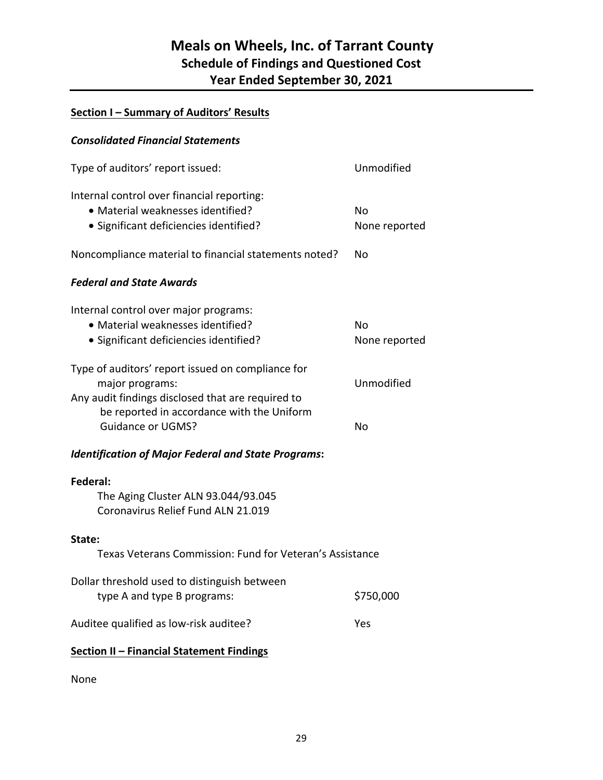### **Section I – Summary of Auditors' Results**

| <b>Consolidated Financial Statements</b>                                                                                                                                                            |                     |
|-----------------------------------------------------------------------------------------------------------------------------------------------------------------------------------------------------|---------------------|
| Type of auditors' report issued:                                                                                                                                                                    | Unmodified          |
| Internal control over financial reporting:<br>· Material weaknesses identified?<br>· Significant deficiencies identified?                                                                           | Nο<br>None reported |
| Noncompliance material to financial statements noted?                                                                                                                                               | No                  |
| <b>Federal and State Awards</b>                                                                                                                                                                     |                     |
| Internal control over major programs:<br>• Material weaknesses identified?<br>· Significant deficiencies identified?                                                                                | No<br>None reported |
| Type of auditors' report issued on compliance for<br>major programs:<br>Any audit findings disclosed that are required to<br>be reported in accordance with the Uniform<br><b>Guidance or UGMS?</b> | Unmodified<br>No    |
| <b>Identification of Major Federal and State Programs:</b>                                                                                                                                          |                     |
| Federal:<br>The Aging Cluster ALN 93.044/93.045<br>Coronavirus Relief Fund ALN 21.019                                                                                                               |                     |
| State:<br>Texas Veterans Commission: Fund for Veteran's Assistance                                                                                                                                  |                     |
| Dollar threshold used to distinguish between<br>type A and type B programs:                                                                                                                         | \$750,000           |
| Auditee qualified as low-risk auditee?                                                                                                                                                              | Yes                 |

**Section II – Financial Statement Findings** 

None